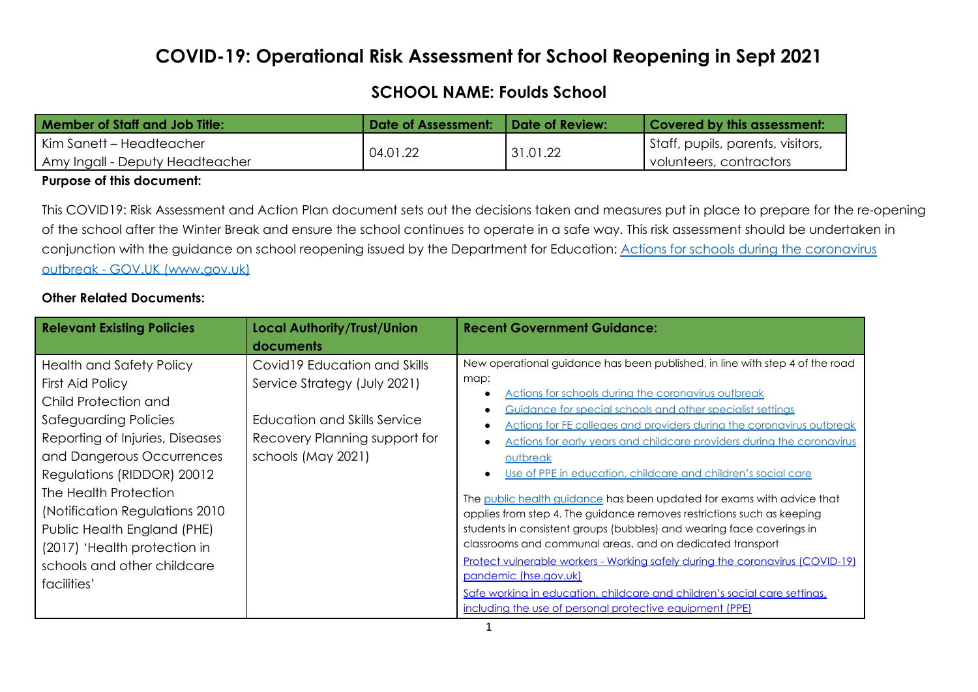# **COVID-19: Operational Risk Assessment for School Reopening in Sept 2021**

## **SCHOOL NAME: Foulds School**

| Member of Staff and Job Title:  | Date of Assessment:   Date of Review: |          | Covered by this assessment:       |
|---------------------------------|---------------------------------------|----------|-----------------------------------|
| Kim Sanett – Headteacher        | 04.01.22                              | 31.01.22 | Staff, pupils, parents, visitors, |
| Amy Ingall - Deputy Headteacher |                                       |          | volunteers, contractors '         |

#### **Purpose of this document:**

This COVID19: Risk Assessment and Action Plan document sets out the decisions taken and measures put in place to prepare for the re-opening of the school after the Winter Break and ensure the school continues to operate in a safe way. This risk assessment should be undertaken in conjunction with the guidance on school reopening issued by the Department for Education: Actions for schools during the [coronavirus](https://www.gov.uk/government/publications/actions-for-schools-during-the-coronavirus-outbreak) outbreak - GOV.UK [\(www.gov.uk\)](https://www.gov.uk/government/publications/actions-for-schools-during-the-coronavirus-outbreak)

### **Other Related Documents:**

| <b>Relevant Existing Policies</b>                                                                                                                                                                                                                                                                                                                                           | <b>Local Authority/Trust/Union</b><br>documents                                                                                                      | <b>Recent Government Guidance:</b>                                                                                                                                                                                                                                                                                                                                                                                                                                                                                                                                                                                                                                                                                                                                                                                                                                                                                                                                                            |
|-----------------------------------------------------------------------------------------------------------------------------------------------------------------------------------------------------------------------------------------------------------------------------------------------------------------------------------------------------------------------------|------------------------------------------------------------------------------------------------------------------------------------------------------|-----------------------------------------------------------------------------------------------------------------------------------------------------------------------------------------------------------------------------------------------------------------------------------------------------------------------------------------------------------------------------------------------------------------------------------------------------------------------------------------------------------------------------------------------------------------------------------------------------------------------------------------------------------------------------------------------------------------------------------------------------------------------------------------------------------------------------------------------------------------------------------------------------------------------------------------------------------------------------------------------|
| <b>Health and Safety Policy</b><br>First Aid Policy<br>Child Protection and<br>Safeguarding Policies<br>Reporting of Injuries, Diseases<br>and Dangerous Occurrences<br>Regulations (RIDDOR) 20012<br>The Health Protection<br>(Notification Regulations 2010)<br>Public Health England (PHE)<br>(2017) 'Health protection in<br>schools and other childcare<br>facilities' | Covid 19 Education and Skills<br>Service Strategy (July 2021)<br>Education and Skills Service<br>Recovery Planning support for<br>schools (May 2021) | New operational guidance has been published, in line with step 4 of the road<br>map:<br>Actions for schools during the coronavirus outbreak<br>Guidance for special schools and other specialist settings<br>Actions for FE colleges and providers during the coronavirus outbreak<br>Actions for early years and childcare providers during the coronavirus<br>outbreak<br>Use of PPE in education, childcare and children's social care<br>The public health guidance has been updated for exams with advice that<br>applies from step 4. The guidance removes restrictions such as keeping<br>students in consistent groups (bubbles) and wearing face coverings in<br>classrooms and communal areas, and on dedicated transport<br><u>Protect vulnerable workers - Working safely during the coronavirus (COVID-19)</u><br>pandemic (hse.gov.uk)<br>Safe working in education, childcare and children's social care settings,<br>including the use of personal protective equipment (PPE) |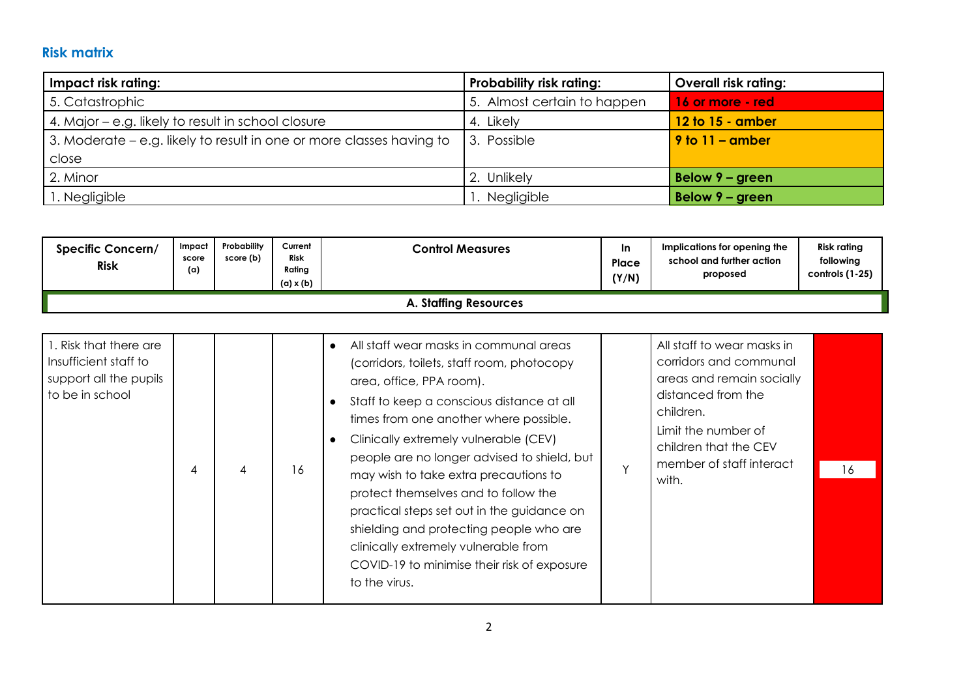## **Risk matrix**

| Impact risk rating:                                                  | <b>Probability risk rating:</b> | <b>Overall risk rating:</b> |
|----------------------------------------------------------------------|---------------------------------|-----------------------------|
| 5. Catastrophic                                                      | 5. Almost certain to happen     | 16 or more - red            |
| 4. Major – e.g. likely to result in school closure                   | 4. Likely                       | 12 to 15 - amber            |
| 3. Moderate - e.g. likely to result in one or more classes having to | 3. Possible                     | $9$ to $11 -$ amber         |
| close                                                                |                                 |                             |
| 2. Minor                                                             | 2. Unlikely                     | Below 9 - green             |
| 1. Negligible                                                        | Negligible                      | Below 9 - green             |

| <b>Specific Concern/</b><br><b>Risk</b> | Impact<br>score<br>(a) | Probability<br>score (b) | Current<br><b>Risk</b><br>Rating<br>(a) x (b) | <b>Control Measures</b> | In.<br>Place<br>(Y/N) | Implications for opening the<br>school and further action<br>proposed | <b>Risk rating</b><br>following<br>controls (1-25) |
|-----------------------------------------|------------------------|--------------------------|-----------------------------------------------|-------------------------|-----------------------|-----------------------------------------------------------------------|----------------------------------------------------|
| <b>A. Staffing Resources</b>            |                        |                          |                                               |                         |                       |                                                                       |                                                    |

| 1. Risk that there are<br>I Insufficient staff to<br>support all the pupils<br>to be in school | 4 | 4 | 16 | All staff wear masks in communal areas<br>$\bullet$<br>(corridors, toilets, staff room, photocopy<br>area, office, PPA room).<br>Staff to keep a conscious distance at all<br>$\bullet$<br>times from one another where possible.<br>Clinically extremely vulnerable (CEV)<br>people are no longer advised to shield, but<br>may wish to take extra precautions to<br>protect themselves and to follow the<br>practical steps set out in the guidance on<br>shielding and protecting people who are<br>clinically extremely vulnerable from<br>COVID-19 to minimise their risk of exposure<br>to the virus. | $\checkmark$ | All staff to wear masks in<br>corridors and communal<br>areas and remain socially<br>distanced from the<br>children.<br>Limit the number of<br>children that the CEV<br>member of staff interact<br>with. | 16 |
|------------------------------------------------------------------------------------------------|---|---|----|-------------------------------------------------------------------------------------------------------------------------------------------------------------------------------------------------------------------------------------------------------------------------------------------------------------------------------------------------------------------------------------------------------------------------------------------------------------------------------------------------------------------------------------------------------------------------------------------------------------|--------------|-----------------------------------------------------------------------------------------------------------------------------------------------------------------------------------------------------------|----|
|------------------------------------------------------------------------------------------------|---|---|----|-------------------------------------------------------------------------------------------------------------------------------------------------------------------------------------------------------------------------------------------------------------------------------------------------------------------------------------------------------------------------------------------------------------------------------------------------------------------------------------------------------------------------------------------------------------------------------------------------------------|--------------|-----------------------------------------------------------------------------------------------------------------------------------------------------------------------------------------------------------|----|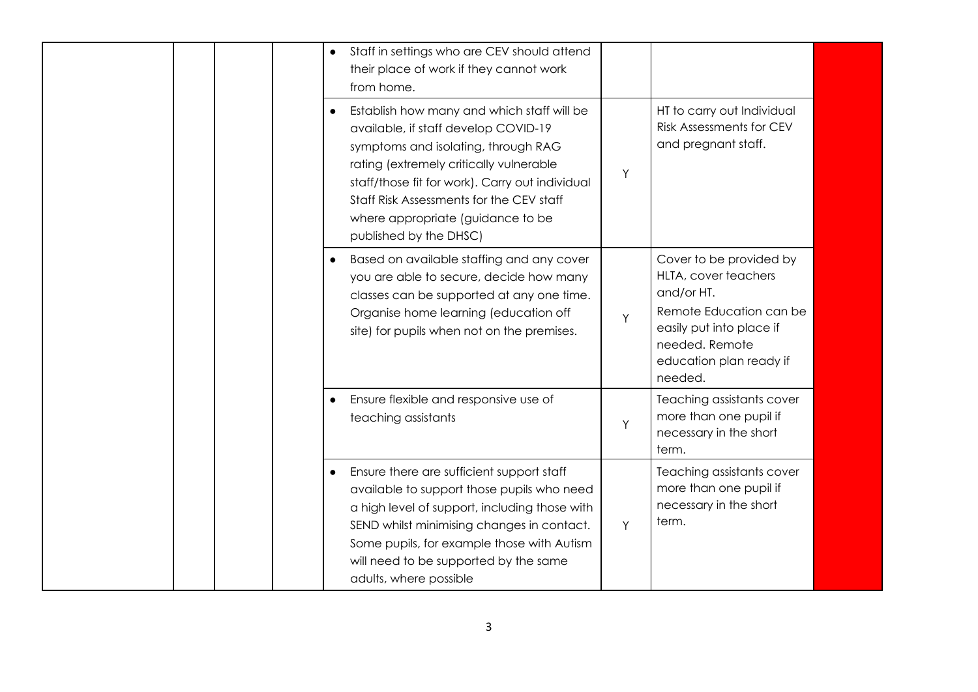|  |  | $\bullet$ | Staff in settings who are CEV should attend<br>their place of work if they cannot work<br>from home.                                                                                                                                                                                                                               |   |                                                                                                                                                                              |  |
|--|--|-----------|------------------------------------------------------------------------------------------------------------------------------------------------------------------------------------------------------------------------------------------------------------------------------------------------------------------------------------|---|------------------------------------------------------------------------------------------------------------------------------------------------------------------------------|--|
|  |  | $\bullet$ | Establish how many and which staff will be<br>available, if staff develop COVID-19<br>symptoms and isolating, through RAG<br>rating (extremely critically vulnerable<br>staff/those fit for work). Carry out individual<br>Staff Risk Assessments for the CEV staff<br>where appropriate (guidance to be<br>published by the DHSC) | Y | HT to carry out Individual<br><b>Risk Assessments for CEV</b><br>and pregnant staff.                                                                                         |  |
|  |  | $\bullet$ | Based on available staffing and any cover<br>you are able to secure, decide how many<br>classes can be supported at any one time.<br>Organise home learning (education off<br>site) for pupils when not on the premises.                                                                                                           | Y | Cover to be provided by<br>HLTA, cover teachers<br>and/or HT.<br>Remote Education can be<br>easily put into place if<br>needed. Remote<br>education plan ready if<br>needed. |  |
|  |  |           | Ensure flexible and responsive use of<br>teaching assistants                                                                                                                                                                                                                                                                       | Y | Teaching assistants cover<br>more than one pupil if<br>necessary in the short<br>term.                                                                                       |  |
|  |  | $\bullet$ | Ensure there are sufficient support staff<br>available to support those pupils who need<br>a high level of support, including those with<br>SEND whilst minimising changes in contact.<br>Some pupils, for example those with Autism<br>will need to be supported by the same<br>adults, where possible                            | Y | Teaching assistants cover<br>more than one pupil if<br>necessary in the short<br>term.                                                                                       |  |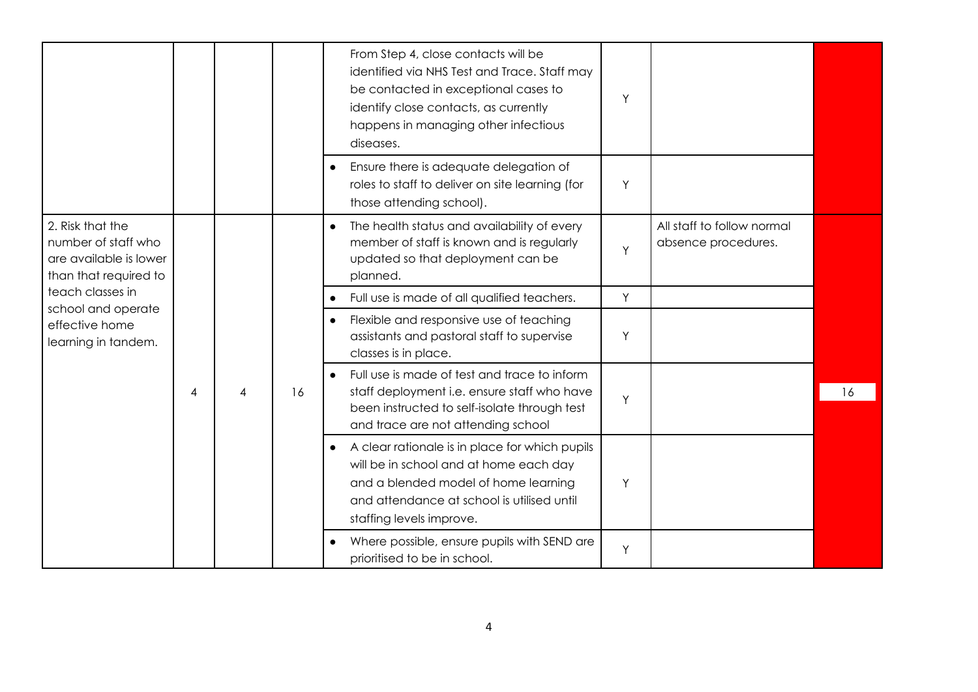|                                                                                            |   |   |    | From Step 4, close contacts will be<br>identified via NHS Test and Trace. Staff may<br>be contacted in exceptional cases to<br>identify close contacts, as currently<br>happens in managing other infectious<br>diseases. | Y |                                                   |    |
|--------------------------------------------------------------------------------------------|---|---|----|---------------------------------------------------------------------------------------------------------------------------------------------------------------------------------------------------------------------------|---|---------------------------------------------------|----|
|                                                                                            |   |   |    | Ensure there is adequate delegation of<br>roles to staff to deliver on site learning (for<br>those attending school).                                                                                                     | Y |                                                   |    |
| 2. Risk that the<br>number of staff who<br>are available is lower<br>than that required to |   |   |    | The health status and availability of every<br>member of staff is known and is regularly<br>updated so that deployment can be<br>planned.                                                                                 | Y | All staff to follow normal<br>absence procedures. |    |
| teach classes in                                                                           |   |   |    | Full use is made of all qualified teachers.                                                                                                                                                                               | Y |                                                   |    |
| school and operate<br>effective home<br>learning in tandem.                                |   |   |    | Flexible and responsive use of teaching<br>$\bullet$<br>assistants and pastoral staff to supervise<br>classes is in place.                                                                                                | Y |                                                   |    |
|                                                                                            | 4 | 4 | 16 | Full use is made of test and trace to inform<br>$\bullet$<br>staff deployment i.e. ensure staff who have<br>been instructed to self-isolate through test<br>and trace are not attending school                            | Y |                                                   | 16 |
|                                                                                            |   |   |    | A clear rationale is in place for which pupils<br>$\bullet$<br>will be in school and at home each day<br>and a blended model of home learning<br>and attendance at school is utilised until<br>staffing levels improve.   | Y |                                                   |    |
|                                                                                            |   |   |    | Where possible, ensure pupils with SEND are<br>prioritised to be in school.                                                                                                                                               | Y |                                                   |    |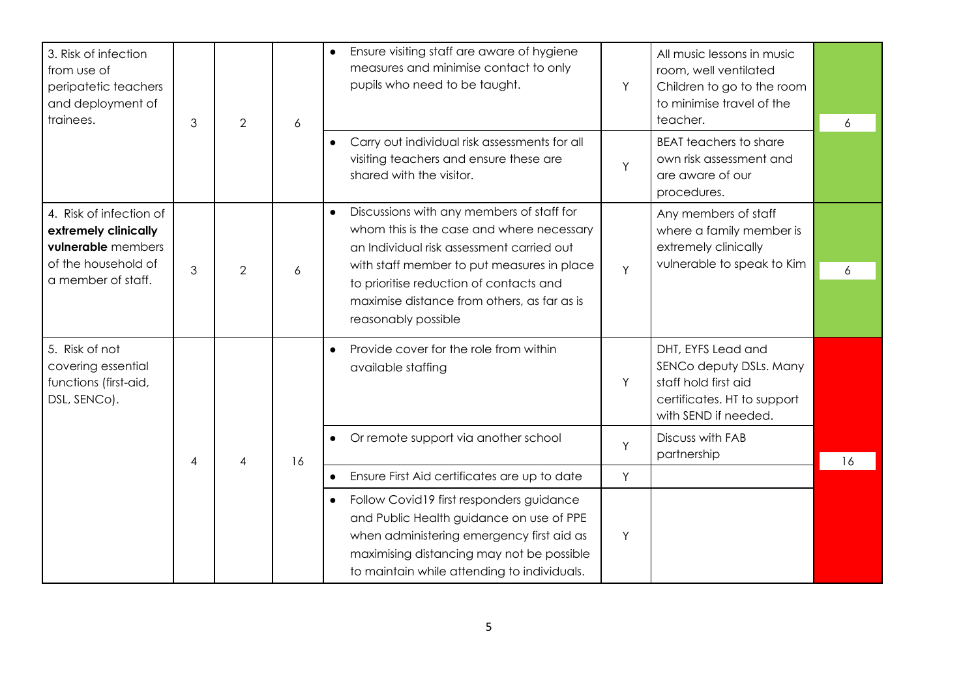| 3. Risk of infection<br>from use of<br>peripatetic teachers<br>and deployment of<br>trainees. | 3                        | $\overline{2}$ |    | 6                                                                                                                                                                                                                                          | Ensure visiting staff are aware of hygiene<br>$\bullet$<br>measures and minimise contact to only<br>pupils who need to be taught. | Y                                                                                                                            | All music lessons in music<br>room, well ventilated<br>Children to go to the room<br>to minimise travel of the<br>teacher. | 6 |
|-----------------------------------------------------------------------------------------------|--------------------------|----------------|----|--------------------------------------------------------------------------------------------------------------------------------------------------------------------------------------------------------------------------------------------|-----------------------------------------------------------------------------------------------------------------------------------|------------------------------------------------------------------------------------------------------------------------------|----------------------------------------------------------------------------------------------------------------------------|---|
|                                                                                               |                          |                |    | Carry out individual risk assessments for all<br>visiting teachers and ensure these are<br>shared with the visitor.                                                                                                                        | Y                                                                                                                                 | <b>BEAT teachers to share</b><br>own risk assessment and<br>are aware of our<br>procedures.                                  |                                                                                                                            |   |
| 4. Risk of infection of<br>extremely clinically<br>vulnerable members                         |                          |                |    | Discussions with any members of staff for<br>$\bullet$<br>whom this is the case and where necessary<br>an Individual risk assessment carried out                                                                                           |                                                                                                                                   | Any members of staff<br>where a family member is<br>extremely clinically<br>vulnerable to speak to Kim                       |                                                                                                                            |   |
| a member of staff.                                                                            | of the household of<br>3 | $\overline{2}$ | 6  | with staff member to put measures in place<br>to prioritise reduction of contacts and<br>maximise distance from others, as far as is<br>reasonably possible                                                                                | Y                                                                                                                                 |                                                                                                                              | 6                                                                                                                          |   |
| 5. Risk of not<br>covering essential<br>functions (first-aid,<br>DSL, SENCO).                 |                          |                |    | Provide cover for the role from within<br>$\bullet$<br>available staffing                                                                                                                                                                  | Y                                                                                                                                 | DHT, EYFS Lead and<br>SENCo deputy DSLs. Many<br>staff hold first aid<br>certificates. HT to support<br>with SEND if needed. |                                                                                                                            |   |
|                                                                                               | 4                        | 4              | 16 | Or remote support via another school<br>$\bullet$                                                                                                                                                                                          | Y                                                                                                                                 | Discuss with FAB<br>partnership                                                                                              | 16                                                                                                                         |   |
|                                                                                               |                          |                |    | Ensure First Aid certificates are up to date<br>$\bullet$                                                                                                                                                                                  | Y                                                                                                                                 |                                                                                                                              |                                                                                                                            |   |
|                                                                                               |                          |                |    | Follow Covid19 first responders guidance<br>$\bullet$<br>and Public Health guidance on use of PPE<br>when administering emergency first aid as<br>maximising distancing may not be possible<br>to maintain while attending to individuals. | Y                                                                                                                                 |                                                                                                                              |                                                                                                                            |   |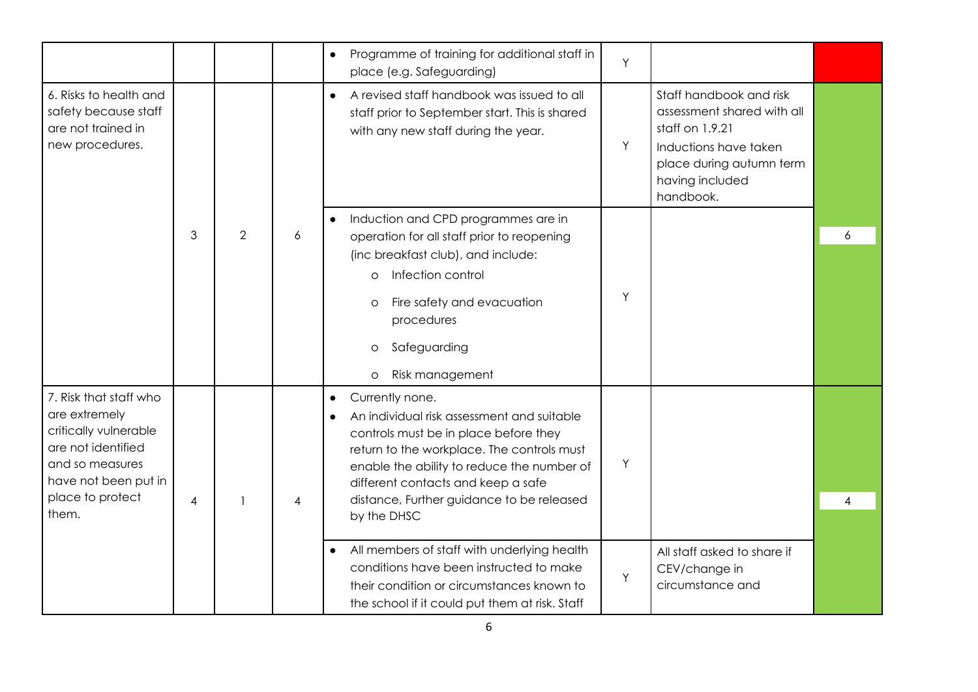|                                                                                                                                                                |                |                |                | Programme of training for additional staff in<br>$\bullet$<br>Y<br>place (e.g. Safeguarding)                                                                                                                                                                                                                           |   |
|----------------------------------------------------------------------------------------------------------------------------------------------------------------|----------------|----------------|----------------|------------------------------------------------------------------------------------------------------------------------------------------------------------------------------------------------------------------------------------------------------------------------------------------------------------------------|---|
| 6. Risks to health and<br>safety because staff<br>are not trained in<br>new procedures.                                                                        |                |                |                | Staff handbook and risk<br>A revised staff handbook was issued to all<br>$\bullet$<br>assessment shared with all<br>staff prior to September start. This is shared<br>staff on 1.9.21<br>with any new staff during the year.<br>Y<br>Inductions have taken<br>place during autumn term<br>having included<br>handbook. |   |
|                                                                                                                                                                | 3              | $\overline{2}$ | 6              | Induction and CPD programmes are in<br>$\bullet$<br>operation for all staff prior to reopening<br>(inc breakfast club), and include:<br>Infection control<br>$\circ$<br>Y                                                                                                                                              | 6 |
|                                                                                                                                                                |                |                |                | Fire safety and evacuation<br>$\circ$<br>procedures<br>Safeguarding<br>$\circ$<br>Risk management<br>$\circ$                                                                                                                                                                                                           |   |
| 7. Risk that staff who<br>are extremely<br>critically vulnerable<br>are not identified<br>and so measures<br>have not been put in<br>place to protect<br>them. | $\overline{4}$ |                | $\overline{4}$ | Currently none.<br>$\bullet$<br>An individual risk assessment and suitable<br>controls must be in place before they<br>return to the workplace. The controls must<br>Y<br>enable the ability to reduce the number of<br>different contacts and keep a safe<br>distance, Further guidance to be released<br>by the DHSC | 4 |
|                                                                                                                                                                |                |                |                | All members of staff with underlying health<br>$\bullet$<br>All staff asked to share if<br>conditions have been instructed to make<br>CEV/change in<br>Y<br>circumstance and<br>their condition or circumstances known to<br>the school if it could put them at risk. Staff                                            |   |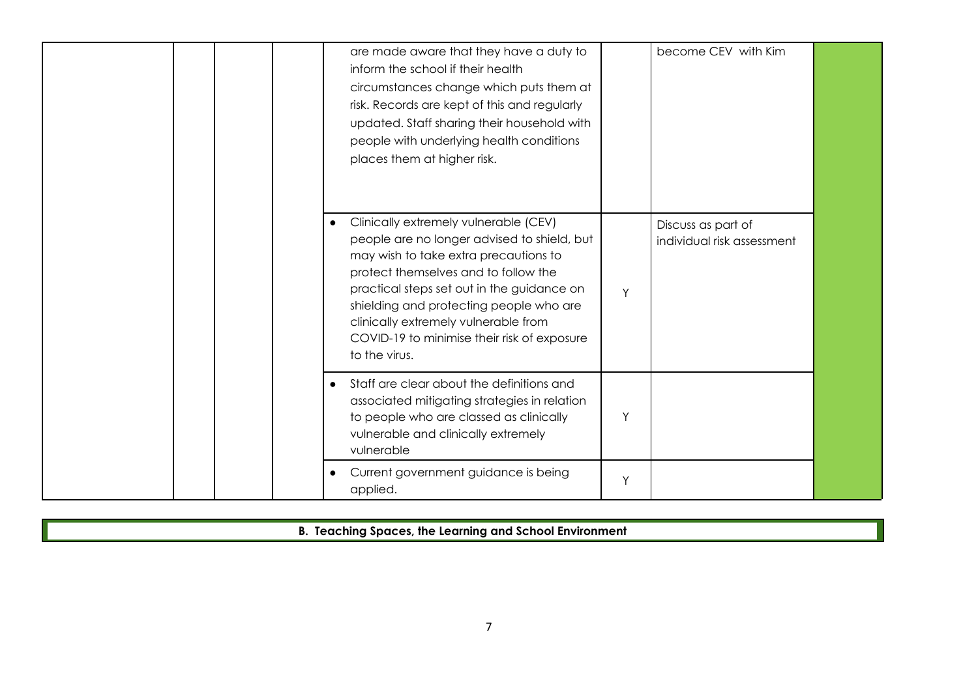| are made aware that they have a duty to<br>inform the school if their health<br>circumstances change which puts them at<br>risk. Records are kept of this and regularly<br>updated. Staff sharing their household with<br>people with underlying health conditions<br>places them at higher risk.                                                                                   |   | become CEV with Kim                              |  |
|-------------------------------------------------------------------------------------------------------------------------------------------------------------------------------------------------------------------------------------------------------------------------------------------------------------------------------------------------------------------------------------|---|--------------------------------------------------|--|
| Clinically extremely vulnerable (CEV)<br>$\bullet$<br>people are no longer advised to shield, but<br>may wish to take extra precautions to<br>protect themselves and to follow the<br>practical steps set out in the guidance on<br>shielding and protecting people who are<br>clinically extremely vulnerable from<br>COVID-19 to minimise their risk of exposure<br>to the virus. | Y | Discuss as part of<br>individual risk assessment |  |
| Staff are clear about the definitions and<br>$\bullet$<br>associated mitigating strategies in relation<br>to people who are classed as clinically<br>vulnerable and clinically extremely<br>vulnerable                                                                                                                                                                              | Y |                                                  |  |
| Current government guidance is being<br>$\bullet$<br>applied.                                                                                                                                                                                                                                                                                                                       | Υ |                                                  |  |

**B. Teaching Spaces, the Learning and School Environment**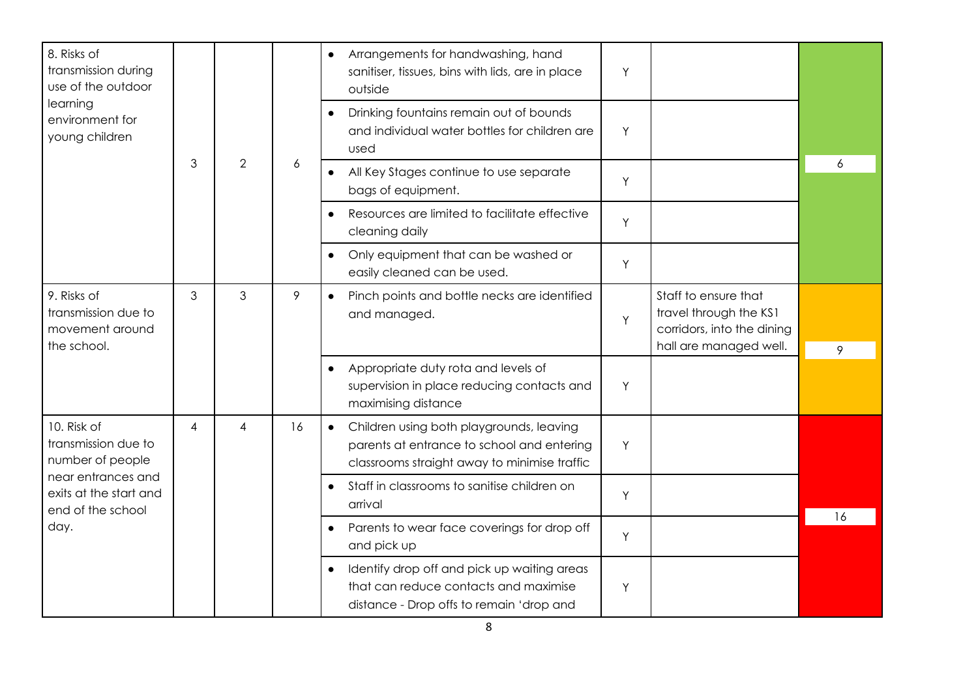| 8. Risks of<br>transmission during<br>use of the outdoor             |                |                |                  | Arrangements for handwashing, hand<br>$\bullet$<br>sanitiser, tissues, bins with lids, are in place<br>outside                                      | Y |                                                                                                        |    |
|----------------------------------------------------------------------|----------------|----------------|------------------|-----------------------------------------------------------------------------------------------------------------------------------------------------|---|--------------------------------------------------------------------------------------------------------|----|
| learning<br>environment for<br>young children                        |                |                |                  | Drinking fountains remain out of bounds<br>$\bullet$<br>and individual water bottles for children are<br>used                                       | Y |                                                                                                        |    |
|                                                                      | 3              | $\overline{2}$ | $\boldsymbol{6}$ | All Key Stages continue to use separate<br>bags of equipment.                                                                                       | Y |                                                                                                        | 6  |
|                                                                      |                |                |                  | Resources are limited to facilitate effective<br>$\bullet$<br>cleaning daily                                                                        | Y |                                                                                                        |    |
|                                                                      |                |                |                  | Only equipment that can be washed or<br>$\bullet$<br>easily cleaned can be used.                                                                    | Y |                                                                                                        |    |
| 9. Risks of<br>transmission due to<br>movement around<br>the school. | $\mathfrak{S}$ | 3              | 9                | Pinch points and bottle necks are identified<br>and managed.                                                                                        | Y | Staff to ensure that<br>travel through the KS1<br>corridors, into the dining<br>hall are managed well. | 9  |
|                                                                      |                |                |                  | Appropriate duty rota and levels of<br>$\bullet$<br>supervision in place reducing contacts and<br>maximising distance                               | Y |                                                                                                        |    |
| 10. Risk of<br>transmission due to<br>number of people               | 4              | 4              | 16               | Children using both playgrounds, leaving<br>$\bullet$<br>parents at entrance to school and entering<br>classrooms straight away to minimise traffic | Y |                                                                                                        |    |
| near entrances and<br>exits at the start and<br>end of the school    |                |                |                  | Staff in classrooms to sanitise children on<br>$\bullet$<br>arrival                                                                                 | Y |                                                                                                        |    |
| day.                                                                 |                |                |                  | Parents to wear face coverings for drop off<br>and pick up                                                                                          | Y |                                                                                                        | 16 |
|                                                                      |                |                |                  | Identify drop off and pick up waiting areas<br>$\bullet$<br>that can reduce contacts and maximise<br>distance - Drop offs to remain 'drop and       | Y |                                                                                                        |    |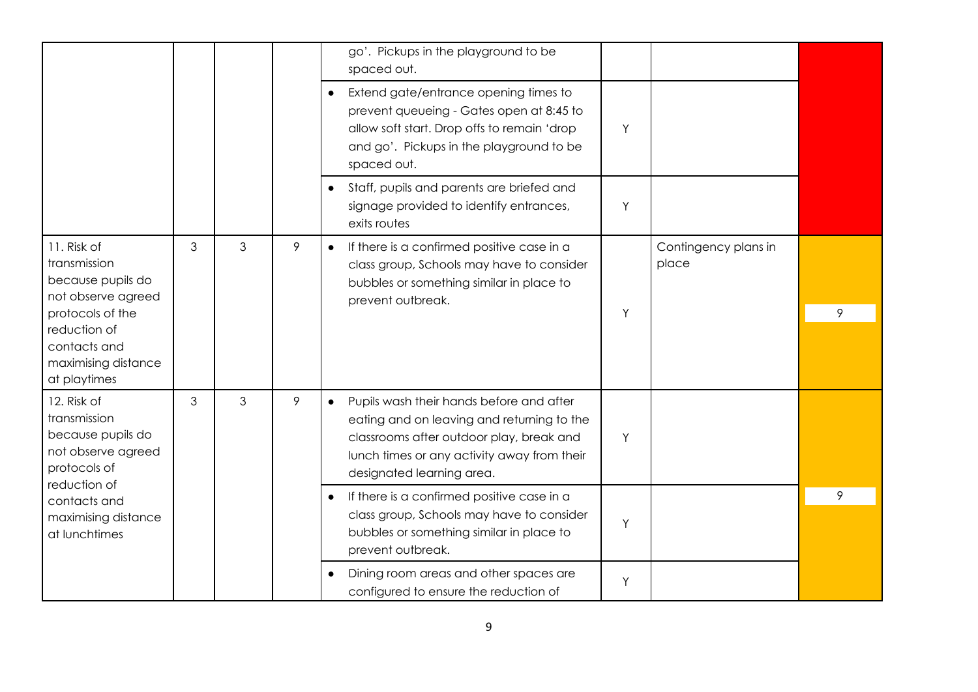|                                                                                                                                                                   |   |   |   | go'. Pickups in the playground to be<br>spaced out.                                                                                                                                                                         |   |                               |   |
|-------------------------------------------------------------------------------------------------------------------------------------------------------------------|---|---|---|-----------------------------------------------------------------------------------------------------------------------------------------------------------------------------------------------------------------------------|---|-------------------------------|---|
|                                                                                                                                                                   |   |   |   | Extend gate/entrance opening times to<br>prevent queueing - Gates open at 8:45 to<br>allow soft start. Drop offs to remain 'drop<br>and go'. Pickups in the playground to be<br>spaced out.                                 | Y |                               |   |
|                                                                                                                                                                   |   |   |   | Staff, pupils and parents are briefed and<br>$\bullet$<br>signage provided to identify entrances,<br>exits routes                                                                                                           | Y |                               |   |
| 11. Risk of<br>transmission<br>because pupils do<br>not observe agreed<br>protocols of the<br>reduction of<br>contacts and<br>maximising distance<br>at playtimes | 3 | 3 | 9 | If there is a confirmed positive case in a<br>$\bullet$<br>class group, Schools may have to consider<br>bubbles or something similar in place to<br>prevent outbreak.                                                       | Y | Contingency plans in<br>place | 9 |
| 12. Risk of<br>transmission<br>because pupils do<br>not observe agreed<br>protocols of<br>reduction of                                                            | 3 | 3 | 9 | Pupils wash their hands before and after<br>$\bullet$<br>eating and on leaving and returning to the<br>classrooms after outdoor play, break and<br>lunch times or any activity away from their<br>designated learning area. | Y |                               |   |
| contacts and<br>maximising distance<br>at lunchtimes                                                                                                              |   |   |   | If there is a confirmed positive case in a<br>class group, Schools may have to consider<br>bubbles or something similar in place to<br>prevent outbreak.                                                                    | Y |                               | 9 |
|                                                                                                                                                                   |   |   |   | Dining room areas and other spaces are<br>configured to ensure the reduction of                                                                                                                                             | Y |                               |   |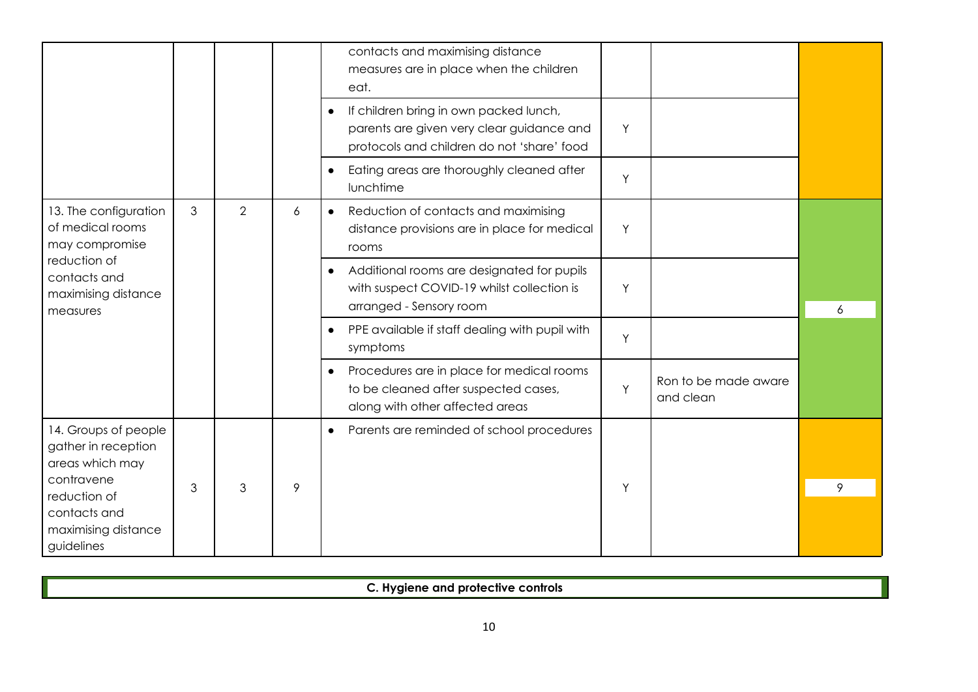|                                                                                                                                                   |   |                |   | contacts and maximising distance<br>measures are in place when the children<br>eat.                                                            |   |                                   |   |
|---------------------------------------------------------------------------------------------------------------------------------------------------|---|----------------|---|------------------------------------------------------------------------------------------------------------------------------------------------|---|-----------------------------------|---|
|                                                                                                                                                   |   |                |   | If children bring in own packed lunch,<br>$\bullet$<br>parents are given very clear guidance and<br>protocols and children do not 'share' food | Y |                                   |   |
|                                                                                                                                                   |   |                |   | Eating areas are thoroughly cleaned after<br>$\bullet$<br>lunchtime                                                                            | Y |                                   |   |
| 13. The configuration<br>of medical rooms<br>may compromise                                                                                       | 3 | $\overline{2}$ | 6 | Reduction of contacts and maximising<br>$\bullet$<br>distance provisions are in place for medical<br>rooms                                     | Y |                                   |   |
| reduction of<br>contacts and<br>maximising distance<br>measures                                                                                   |   |                |   | Additional rooms are designated for pupils<br>$\bullet$<br>with suspect COVID-19 whilst collection is<br>arranged - Sensory room               | Y |                                   | 6 |
|                                                                                                                                                   |   |                |   | PPE available if staff dealing with pupil with<br>$\bullet$<br>symptoms                                                                        | Y |                                   |   |
|                                                                                                                                                   |   |                |   | Procedures are in place for medical rooms<br>$\bullet$<br>to be cleaned after suspected cases,<br>along with other affected areas              | Y | Ron to be made aware<br>and clean |   |
| 14. Groups of people<br>gather in reception<br>areas which may<br>contravene<br>reduction of<br>contacts and<br>maximising distance<br>guidelines | 3 | 3              | 9 | Parents are reminded of school procedures<br>$\bullet$                                                                                         | Y |                                   | 9 |

**C. Hygiene and protective controls**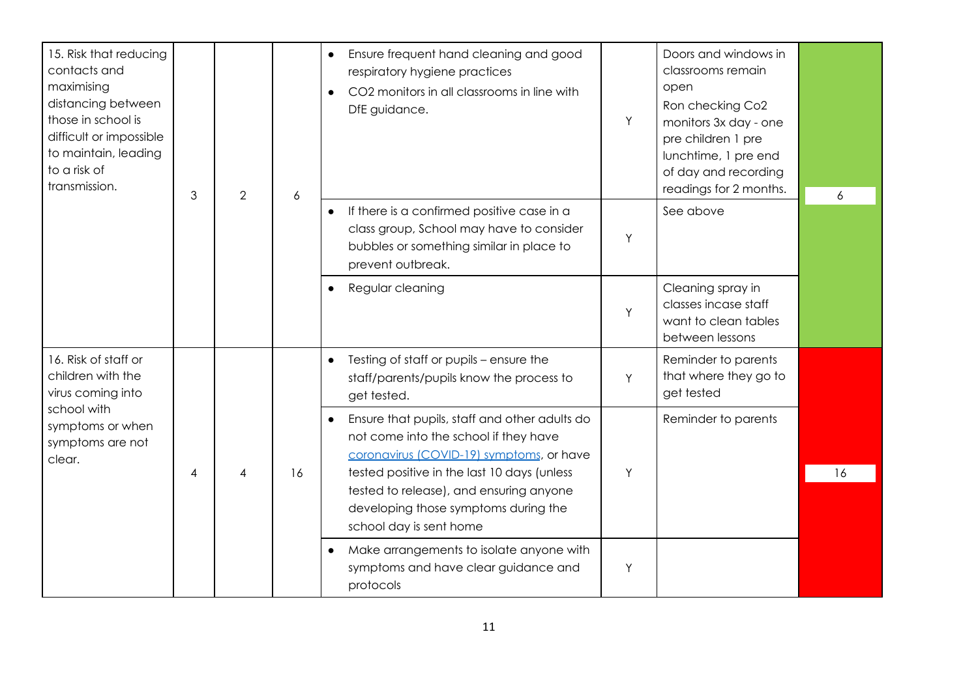| 15. Risk that reducing<br>contacts and<br>maximising<br>distancing between<br>those in school is<br>difficult or impossible<br>to maintain, leading<br>to a risk of<br>transmission. | 3 |   |    |                                                                                                                                                           | $\overline{2}$ | $\boldsymbol{6}$                                                                     | Ensure frequent hand cleaning and good<br>respiratory hygiene practices<br>CO2 monitors in all classrooms in line with<br>DfE guidance. | Υ | Doors and windows in<br>classrooms remain<br>open<br>Ron checking Co2<br>monitors 3x day - one<br>pre children 1 pre<br>lunchtime, 1 pre end<br>of day and recording<br>readings for 2 months. | $\boldsymbol{6}$ |  |  |  |  |  |  |  |  |  |                                                                                                                                    |  |                     |  |
|--------------------------------------------------------------------------------------------------------------------------------------------------------------------------------------|---|---|----|-----------------------------------------------------------------------------------------------------------------------------------------------------------|----------------|--------------------------------------------------------------------------------------|-----------------------------------------------------------------------------------------------------------------------------------------|---|------------------------------------------------------------------------------------------------------------------------------------------------------------------------------------------------|------------------|--|--|--|--|--|--|--|--|--|------------------------------------------------------------------------------------------------------------------------------------|--|---------------------|--|
|                                                                                                                                                                                      |   |   |    | If there is a confirmed positive case in a<br>class group, School may have to consider<br>bubbles or something similar in place to<br>prevent outbreak.   | Y              | See above                                                                            |                                                                                                                                         |   |                                                                                                                                                                                                |                  |  |  |  |  |  |  |  |  |  |                                                                                                                                    |  |                     |  |
|                                                                                                                                                                                      |   |   |    | Regular cleaning                                                                                                                                          | Y              | Cleaning spray in<br>classes incase staff<br>want to clean tables<br>between lessons |                                                                                                                                         |   |                                                                                                                                                                                                |                  |  |  |  |  |  |  |  |  |  |                                                                                                                                    |  |                     |  |
| 16. Risk of staff or<br>children with the<br>virus coming into                                                                                                                       |   |   |    | Testing of staff or pupils - ensure the<br>staff/parents/pupils know the process to<br>get tested.                                                        | Y              | Reminder to parents<br>that where they go to<br>get tested                           |                                                                                                                                         |   |                                                                                                                                                                                                |                  |  |  |  |  |  |  |  |  |  |                                                                                                                                    |  |                     |  |
| school with<br>symptoms or when<br>symptoms are not<br>clear.                                                                                                                        |   |   |    |                                                                                                                                                           |                |                                                                                      |                                                                                                                                         |   |                                                                                                                                                                                                |                  |  |  |  |  |  |  |  |  |  | Ensure that pupils, staff and other adults do<br>not come into the school if they have<br>coronavirus (COVID-19) symptoms, or have |  | Reminder to parents |  |
|                                                                                                                                                                                      | 4 | 4 | 16 | tested positive in the last 10 days (unless<br>tested to release), and ensuring anyone<br>developing those symptoms during the<br>school day is sent home | Y              |                                                                                      | 16                                                                                                                                      |   |                                                                                                                                                                                                |                  |  |  |  |  |  |  |  |  |  |                                                                                                                                    |  |                     |  |
|                                                                                                                                                                                      |   |   |    | Make arrangements to isolate anyone with<br>$\bullet$<br>symptoms and have clear guidance and<br>protocols                                                | Y              |                                                                                      |                                                                                                                                         |   |                                                                                                                                                                                                |                  |  |  |  |  |  |  |  |  |  |                                                                                                                                    |  |                     |  |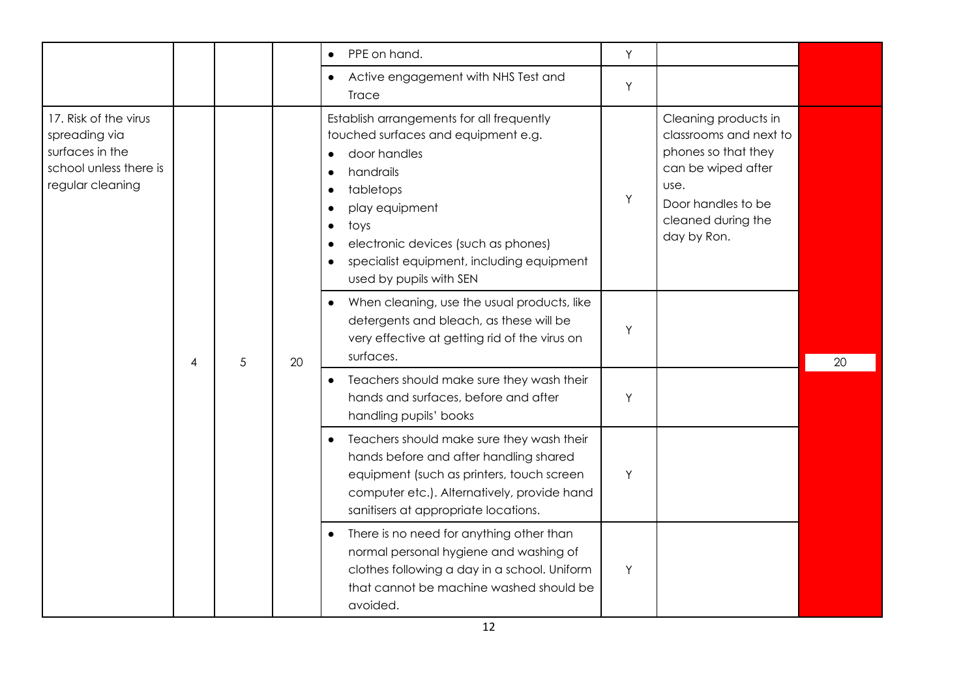|                                                                                                         |   |   |    | PPE on hand.<br>$\bullet$                                                                                                                                                                                                                                                                                                            | Y |                                                                                                                                                                |    |
|---------------------------------------------------------------------------------------------------------|---|---|----|--------------------------------------------------------------------------------------------------------------------------------------------------------------------------------------------------------------------------------------------------------------------------------------------------------------------------------------|---|----------------------------------------------------------------------------------------------------------------------------------------------------------------|----|
|                                                                                                         |   |   |    | Active engagement with NHS Test and<br>$\bullet$<br><b>Trace</b>                                                                                                                                                                                                                                                                     | Y |                                                                                                                                                                |    |
| 17. Risk of the virus<br>spreading via<br>surfaces in the<br>school unless there is<br>regular cleaning |   |   |    | Establish arrangements for all frequently<br>touched surfaces and equipment e.g.<br>door handles<br>$\bullet$<br>handrails<br>tabletops<br>$\bullet$<br>play equipment<br>$\bullet$<br>toys<br>$\bullet$<br>electronic devices (such as phones)<br>specialist equipment, including equipment<br>$\bullet$<br>used by pupils with SEN | Y | Cleaning products in<br>classrooms and next to<br>phones so that they<br>can be wiped after<br>use.<br>Door handles to be<br>cleaned during the<br>day by Ron. |    |
|                                                                                                         | 4 | 5 | 20 | When cleaning, use the usual products, like<br>$\bullet$<br>detergents and bleach, as these will be<br>very effective at getting rid of the virus on<br>surfaces.                                                                                                                                                                    | Υ |                                                                                                                                                                | 20 |
|                                                                                                         |   |   |    | Teachers should make sure they wash their<br>$\bullet$<br>hands and surfaces, before and after<br>handling pupils' books                                                                                                                                                                                                             | Y |                                                                                                                                                                |    |
|                                                                                                         |   |   |    | Teachers should make sure they wash their<br>$\bullet$<br>hands before and after handling shared<br>equipment (such as printers, touch screen<br>computer etc.). Alternatively, provide hand<br>sanitisers at appropriate locations.                                                                                                 | Y |                                                                                                                                                                |    |
|                                                                                                         |   |   |    | There is no need for anything other than<br>$\bullet$<br>normal personal hygiene and washing of<br>clothes following a day in a school. Uniform<br>that cannot be machine washed should be<br>avoided.                                                                                                                               | Y |                                                                                                                                                                |    |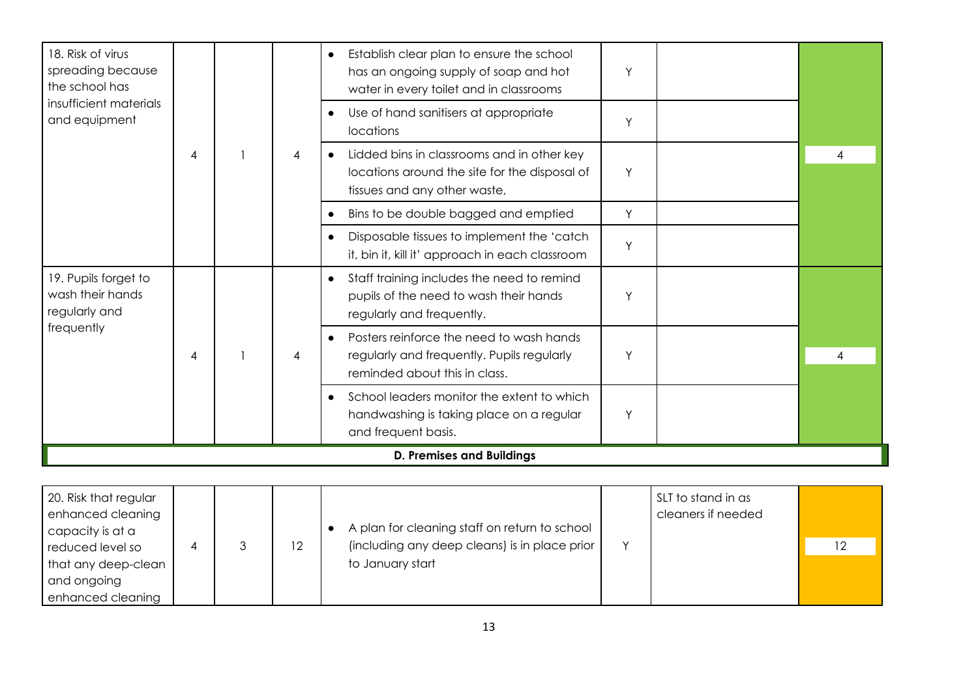| 18. Risk of virus<br>spreading because<br>the school has  |                |                | Establish clear plan to ensure the school<br>$\bullet$<br>has an ongoing supply of soap and hot<br>water in every toilet and in classrooms | Y |   |
|-----------------------------------------------------------|----------------|----------------|--------------------------------------------------------------------------------------------------------------------------------------------|---|---|
| insufficient materials<br>and equipment                   |                |                | Use of hand sanitisers at appropriate<br>$\bullet$<br>locations                                                                            | Y |   |
|                                                           | 4              | $\overline{4}$ | Lidded bins in classrooms and in other key<br>locations around the site for the disposal of<br>tissues and any other waste,                | Y | 4 |
|                                                           |                |                | Bins to be double bagged and emptied                                                                                                       | Y |   |
|                                                           |                |                | Disposable tissues to implement the 'catch<br>it, bin it, kill it' approach in each classroom                                              | Y |   |
| 19. Pupils forget to<br>wash their hands<br>regularly and |                |                | Staff training includes the need to remind<br>$\bullet$<br>pupils of the need to wash their hands<br>regularly and frequently.             | Y |   |
| frequently                                                | $\overline{4}$ | $\overline{4}$ | Posters reinforce the need to wash hands<br>$\bullet$<br>regularly and frequently. Pupils regularly<br>reminded about this in class.       | Y | 4 |
|                                                           |                |                | School leaders monitor the extent to which<br>handwashing is taking place on a regular<br>and frequent basis.                              | Y |   |
|                                                           |                |                | <b>D. Premises and Buildings</b>                                                                                                           |   |   |

| 20. Risk that regular<br>enhanced cleaning<br>capacity is at a |  |    | A plan for cleaning staff on return to school | SLT to stand in as<br>cleaners if needed |    |
|----------------------------------------------------------------|--|----|-----------------------------------------------|------------------------------------------|----|
| reduced level so                                               |  | 12 | (including any deep cleans) is in place prior |                                          | 12 |
| that any deep-clean                                            |  |    | to January start                              |                                          |    |
| and ongoing                                                    |  |    |                                               |                                          |    |
| enhanced cleaning                                              |  |    |                                               |                                          |    |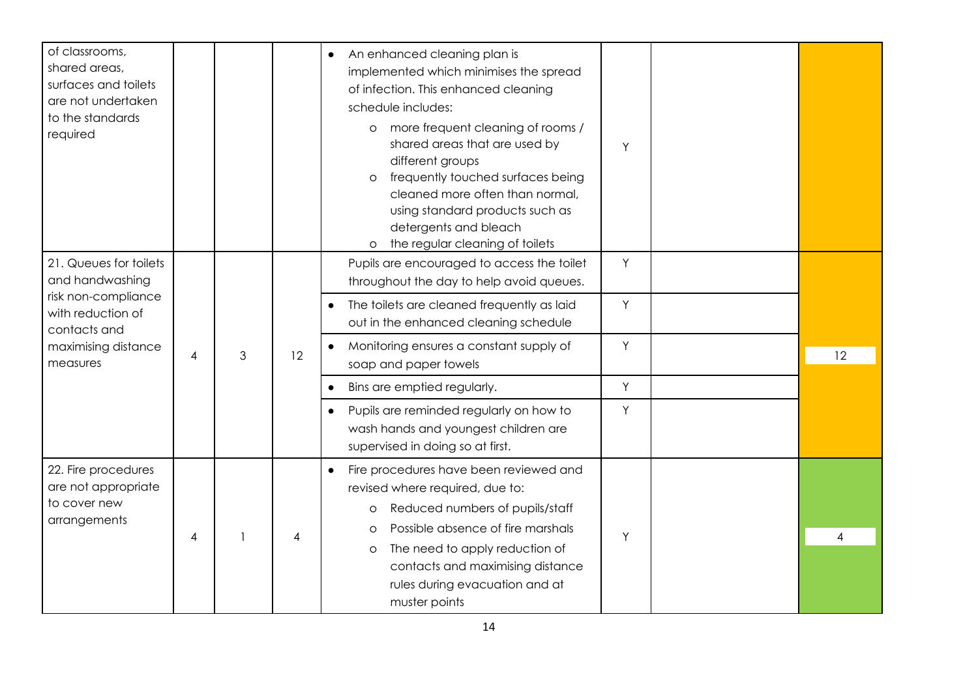| of classrooms,<br>shared areas,<br>surfaces and toilets<br>are not undertaken<br>to the standards<br>required |                |   |   | An enhanced cleaning plan is<br>$\bullet$<br>implemented which minimises the spread<br>of infection. This enhanced cleaning<br>schedule includes:<br>more frequent cleaning of rooms /<br>$\circ$<br>shared areas that are used by<br>different groups<br>frequently touched surfaces being<br>$\circ$<br>cleaned more often than normal,<br>using standard products such as<br>detergents and bleach<br>the regular cleaning of toilets<br>$\circ$ | Y |   |  |    |                                                                               |
|---------------------------------------------------------------------------------------------------------------|----------------|---|---|-----------------------------------------------------------------------------------------------------------------------------------------------------------------------------------------------------------------------------------------------------------------------------------------------------------------------------------------------------------------------------------------------------------------------------------------------------|---|---|--|----|-------------------------------------------------------------------------------|
| 21. Queues for toilets<br>and handwashing                                                                     |                |   |   | Pupils are encouraged to access the toilet<br>throughout the day to help avoid queues.                                                                                                                                                                                                                                                                                                                                                              | Y |   |  |    |                                                                               |
| risk non-compliance<br>with reduction of<br>contacts and                                                      | $\overline{4}$ | 3 |   | The toilets are cleaned frequently as laid<br>$\bullet$<br>out in the enhanced cleaning schedule                                                                                                                                                                                                                                                                                                                                                    | Y |   |  |    |                                                                               |
| maximising distance<br>measures                                                                               |                |   |   |                                                                                                                                                                                                                                                                                                                                                                                                                                                     |   |   |  | 12 | Monitoring ensures a constant supply of<br>$\bullet$<br>soap and paper towels |
|                                                                                                               |                |   |   | Bins are emptied regularly.                                                                                                                                                                                                                                                                                                                                                                                                                         | Y |   |  |    |                                                                               |
|                                                                                                               |                |   |   | Pupils are reminded regularly on how to<br>$\bullet$<br>wash hands and youngest children are<br>supervised in doing so at first.                                                                                                                                                                                                                                                                                                                    | Y |   |  |    |                                                                               |
| 22. Fire procedures<br>are not appropriate<br>to cover new<br>arrangements                                    | 4              |   | 4 | Fire procedures have been reviewed and<br>$\bullet$<br>revised where required, due to:<br>Reduced numbers of pupils/staff<br>O<br>Possible absence of fire marshals<br>$\circ$<br>The need to apply reduction of<br>$\circ$<br>contacts and maximising distance<br>rules during evacuation and at<br>muster points                                                                                                                                  | Y | 4 |  |    |                                                                               |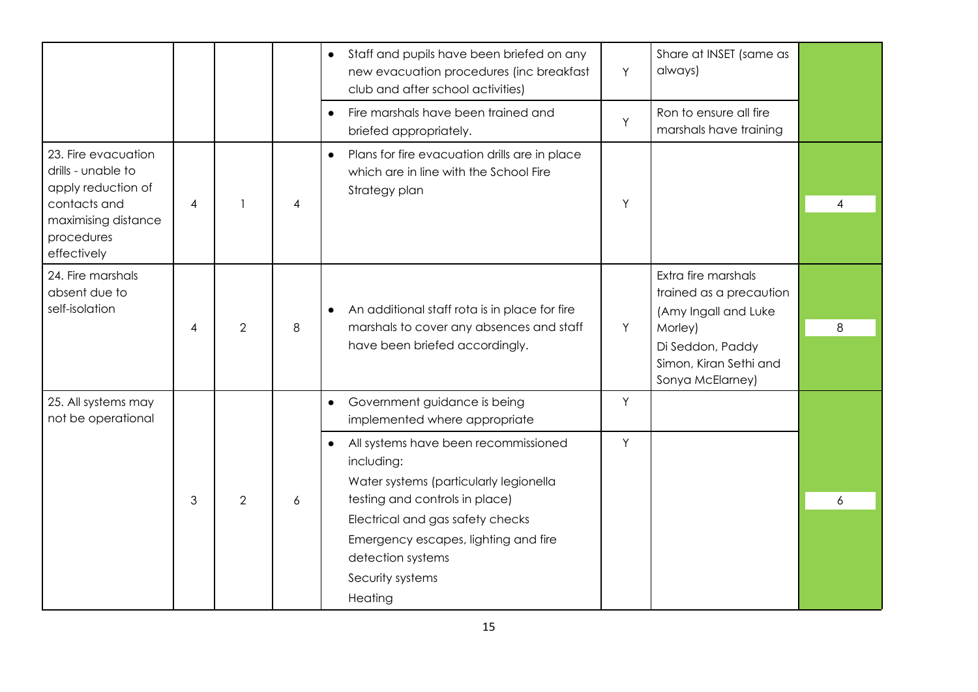|                                                                                                                                     |                |                |                | Staff and pupils have been briefed on any<br>$\bullet$<br>new evacuation procedures (inc breakfast<br>club and after school activities)                                                                                                                                     | Y | Share at INSET (same as<br>always)                                                                                                                  |   |
|-------------------------------------------------------------------------------------------------------------------------------------|----------------|----------------|----------------|-----------------------------------------------------------------------------------------------------------------------------------------------------------------------------------------------------------------------------------------------------------------------------|---|-----------------------------------------------------------------------------------------------------------------------------------------------------|---|
|                                                                                                                                     |                |                |                | Fire marshals have been trained and<br>$\bullet$<br>briefed appropriately.                                                                                                                                                                                                  | Y | Ron to ensure all fire<br>marshals have training                                                                                                    |   |
| 23. Fire evacuation<br>drills - unable to<br>apply reduction of<br>contacts and<br>maximising distance<br>procedures<br>effectively | $\overline{4}$ |                | $\overline{4}$ | Plans for fire evacuation drills are in place<br>$\bullet$<br>which are in line with the School Fire<br>Strategy plan                                                                                                                                                       | Υ |                                                                                                                                                     | 4 |
| 24. Fire marshals<br>absent due to<br>self-isolation                                                                                | 4              | 2              | 8              | An additional staff rota is in place for fire<br>$\bullet$<br>marshals to cover any absences and staff<br>have been briefed accordingly.                                                                                                                                    | Y | Extra fire marshals<br>trained as a precaution<br>(Amy Ingall and Luke<br>Morley)<br>Di Seddon, Paddy<br>Simon, Kiran Sethi and<br>Sonya McElarney) | 8 |
| 25. All systems may<br>not be operational                                                                                           |                |                |                | Government guidance is being<br>$\bullet$<br>implemented where appropriate                                                                                                                                                                                                  | Y |                                                                                                                                                     |   |
|                                                                                                                                     | 3              | $\overline{2}$ | 6              | All systems have been recommissioned<br>$\bullet$<br>including:<br>Water systems (particularly legionella<br>testing and controls in place)<br>Electrical and gas safety checks<br>Emergency escapes, lighting and fire<br>detection systems<br>Security systems<br>Heating | Y |                                                                                                                                                     | 6 |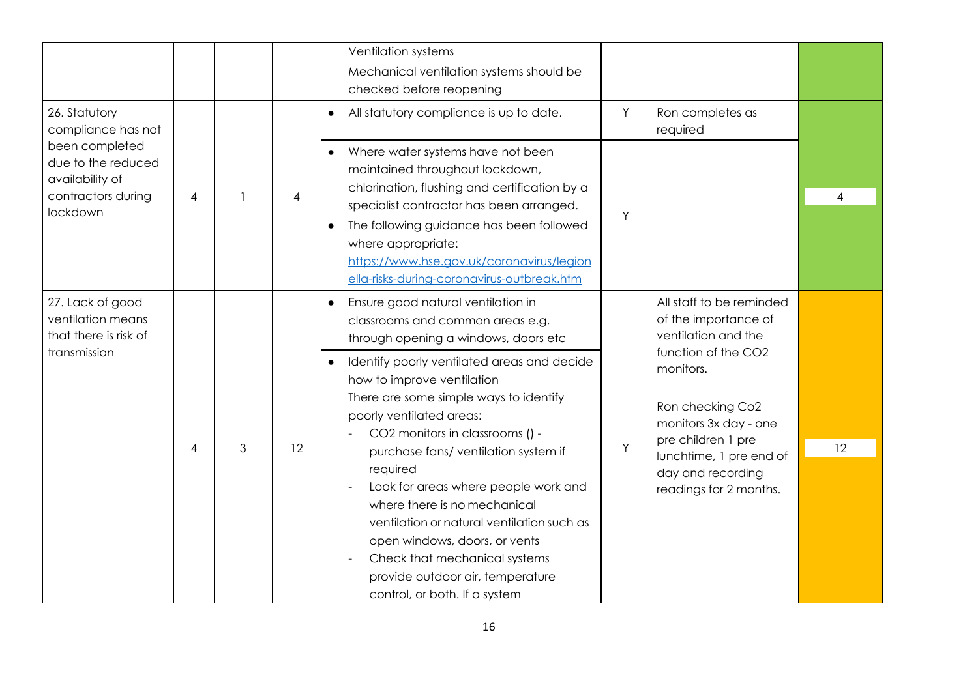|                                                                                                                                  |                |   |    | Ventilation systems<br>Mechanical ventilation systems should be<br>checked before reopening                                                                                                                                                                                                                                                                                                                                                                                                                                                                                                                                        |        |                                                                                                                                                                                                                                                          |                |
|----------------------------------------------------------------------------------------------------------------------------------|----------------|---|----|------------------------------------------------------------------------------------------------------------------------------------------------------------------------------------------------------------------------------------------------------------------------------------------------------------------------------------------------------------------------------------------------------------------------------------------------------------------------------------------------------------------------------------------------------------------------------------------------------------------------------------|--------|----------------------------------------------------------------------------------------------------------------------------------------------------------------------------------------------------------------------------------------------------------|----------------|
| 26. Statutory<br>compliance has not<br>been completed<br>due to the reduced<br>availability of<br>contractors during<br>lockdown | $\overline{4}$ |   | 4  | All statutory compliance is up to date.<br>Where water systems have not been<br>$\bullet$<br>maintained throughout lockdown,<br>chlorination, flushing and certification by a<br>specialist contractor has been arranged.<br>The following guidance has been followed<br>where appropriate:<br>https://www.hse.gov.uk/coronavirus/legion<br>ella-risks-during-coronavirus-outbreak.htm                                                                                                                                                                                                                                             | Y<br>Y | Ron completes as<br>required                                                                                                                                                                                                                             | $\overline{4}$ |
| 27. Lack of good<br>ventilation means<br>that there is risk of<br>transmission                                                   | $\overline{4}$ | 3 | 12 | Ensure good natural ventilation in<br>classrooms and common areas e.g.<br>through opening a windows, doors etc<br>Identify poorly ventilated areas and decide<br>$\bullet$<br>how to improve ventilation<br>There are some simple ways to identify<br>poorly ventilated areas:<br>CO2 monitors in classrooms () -<br>purchase fans/ ventilation system if<br>required<br>Look for areas where people work and<br>where there is no mechanical<br>ventilation or natural ventilation such as<br>open windows, doors, or vents<br>Check that mechanical systems<br>provide outdoor air, temperature<br>control, or both. If a system | Y      | All staff to be reminded<br>of the importance of<br>ventilation and the<br>function of the CO2<br>monitors.<br>Ron checking Co2<br>monitors 3x day - one<br>pre children 1 pre<br>lunchtime, 1 pre end of<br>day and recording<br>readings for 2 months. | 12             |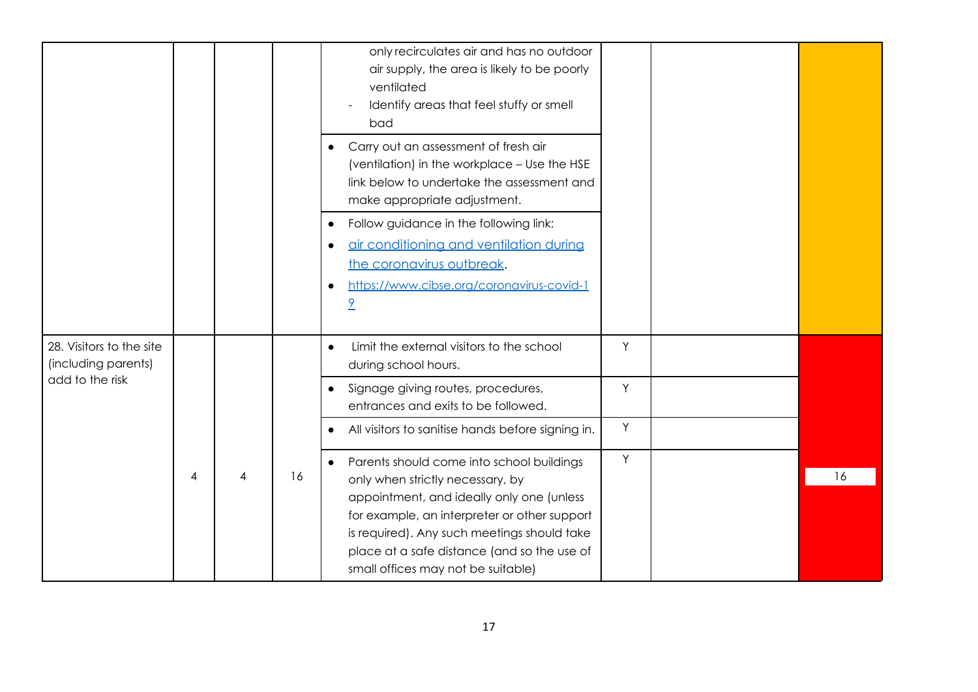|                                                 |   |    | only recirculates air and has no outdoor<br>air supply, the area is likely to be poorly<br>ventilated<br>Identify areas that feel stuffy or smell<br>bad                                                                                                                                                                    |   |    |
|-------------------------------------------------|---|----|-----------------------------------------------------------------------------------------------------------------------------------------------------------------------------------------------------------------------------------------------------------------------------------------------------------------------------|---|----|
|                                                 |   |    | Carry out an assessment of fresh air<br>$\bullet$<br>(ventilation) in the workplace - Use the HSE<br>link below to undertake the assessment and<br>make appropriate adjustment.                                                                                                                                             |   |    |
|                                                 |   |    | Follow guidance in the following link:<br>$\bullet$<br>air conditioning and ventilation during<br>$\bullet$<br>the coronavirus outbreak.<br>https://www.cibse.org/coronavirus-covid-1<br>$\overline{9}$                                                                                                                     |   |    |
| 28. Visitors to the site<br>(including parents) |   |    | Limit the external visitors to the school<br>$\bullet$<br>during school hours.                                                                                                                                                                                                                                              | Y |    |
| add to the risk                                 |   |    | Signage giving routes, procedures,<br>$\bullet$<br>entrances and exits to be followed.                                                                                                                                                                                                                                      | Y |    |
|                                                 |   |    | All visitors to sanitise hands before signing in.<br>$\bullet$                                                                                                                                                                                                                                                              | Y |    |
|                                                 | 4 | 16 | Parents should come into school buildings<br>$\bullet$<br>only when strictly necessary, by<br>appointment, and ideally only one (unless<br>for example, an interpreter or other support<br>is required). Any such meetings should take<br>place at a safe distance (and so the use of<br>small offices may not be suitable) | Y | 16 |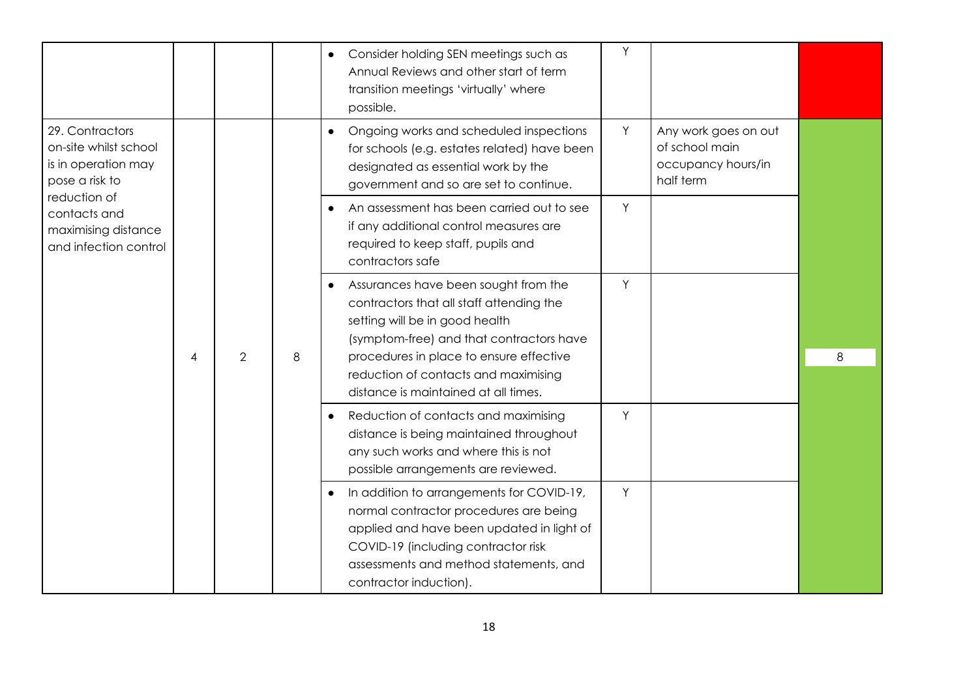|                                                                                   |   |                |   | Y<br>Consider holding SEN meetings such as<br>$\bullet$<br>Annual Reviews and other start of term<br>transition meetings 'virtually' where<br>possible.                                                                                                                                        |   |
|-----------------------------------------------------------------------------------|---|----------------|---|------------------------------------------------------------------------------------------------------------------------------------------------------------------------------------------------------------------------------------------------------------------------------------------------|---|
| 29. Contractors<br>on-site whilst school<br>is in operation may<br>pose a risk to |   |                |   | Y<br>Ongoing works and scheduled inspections<br>Any work goes on out<br>$\bullet$<br>of school main<br>for schools (e.g. estates related) have been<br>occupancy hours/in<br>designated as essential work by the<br>half term<br>government and so are set to continue.                        |   |
| reduction of<br>contacts and<br>maximising distance<br>and infection control      |   |                |   | An assessment has been carried out to see<br>Y<br>$\bullet$<br>if any additional control measures are<br>required to keep staff, pupils and<br>contractors safe                                                                                                                                |   |
|                                                                                   | 4 | $\overline{2}$ | 8 | Y<br>Assurances have been sought from the<br>contractors that all staff attending the<br>setting will be in good health<br>(symptom-free) and that contractors have<br>procedures in place to ensure effective<br>reduction of contacts and maximising<br>distance is maintained at all times. | 8 |
|                                                                                   |   |                |   | Y<br>Reduction of contacts and maximising<br>$\bullet$<br>distance is being maintained throughout<br>any such works and where this is not<br>possible arrangements are reviewed.                                                                                                               |   |
|                                                                                   |   |                |   | Y<br>In addition to arrangements for COVID-19,<br>$\bullet$<br>normal contractor procedures are being<br>applied and have been updated in light of<br>COVID-19 (including contractor risk<br>assessments and method statements, and<br>contractor induction).                                  |   |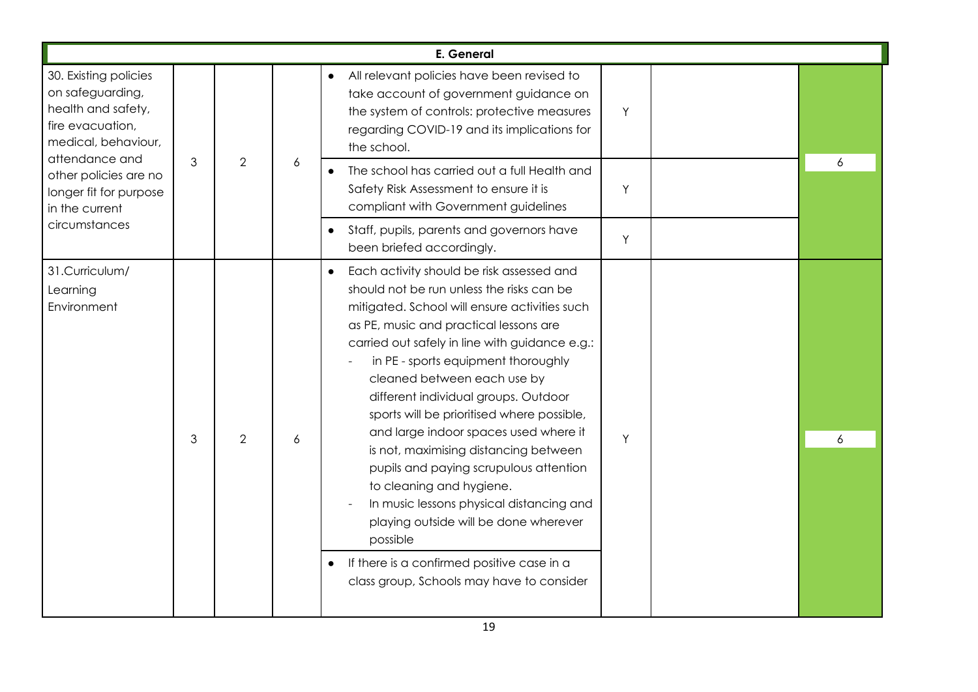|                                                                                                            |   |                |   | E. General                                                                                                                                                                                                                                                                                                                                                                                                                                                                                                                                                                                                                                                                                                                                          |                                                                                                                                                                                                                |   |  |
|------------------------------------------------------------------------------------------------------------|---|----------------|---|-----------------------------------------------------------------------------------------------------------------------------------------------------------------------------------------------------------------------------------------------------------------------------------------------------------------------------------------------------------------------------------------------------------------------------------------------------------------------------------------------------------------------------------------------------------------------------------------------------------------------------------------------------------------------------------------------------------------------------------------------------|----------------------------------------------------------------------------------------------------------------------------------------------------------------------------------------------------------------|---|--|
| 30. Existing policies<br>on safeguarding,<br>health and safety,<br>fire evacuation,<br>medical, behaviour, |   |                |   |                                                                                                                                                                                                                                                                                                                                                                                                                                                                                                                                                                                                                                                                                                                                                     | All relevant policies have been revised to<br>$\bullet$<br>take account of government guidance on<br>the system of controls: protective measures<br>regarding COVID-19 and its implications for<br>the school. | Y |  |
| attendance and<br>other policies are no<br>longer fit for purpose<br>in the current                        | 3 | $\overline{2}$ | 6 | The school has carried out a full Health and<br>Safety Risk Assessment to ensure it is<br>compliant with Government guidelines                                                                                                                                                                                                                                                                                                                                                                                                                                                                                                                                                                                                                      | Y                                                                                                                                                                                                              | 6 |  |
| circumstances                                                                                              |   |                |   | Staff, pupils, parents and governors have<br>$\bullet$<br>been briefed accordingly.                                                                                                                                                                                                                                                                                                                                                                                                                                                                                                                                                                                                                                                                 | Y                                                                                                                                                                                                              |   |  |
| 31.Curriculum/<br>Learning<br>Environment                                                                  | 3 | $\overline{2}$ | 6 | Each activity should be risk assessed and<br>should not be run unless the risks can be<br>mitigated. School will ensure activities such<br>as PE, music and practical lessons are<br>carried out safely in line with guidance e.g.:<br>in PE - sports equipment thoroughly<br>cleaned between each use by<br>different individual groups. Outdoor<br>sports will be prioritised where possible,<br>and large indoor spaces used where it<br>is not, maximising distancing between<br>pupils and paying scrupulous attention<br>to cleaning and hygiene.<br>In music lessons physical distancing and<br>playing outside will be done wherever<br>possible<br>If there is a confirmed positive case in a<br>class group, Schools may have to consider | Y                                                                                                                                                                                                              | 6 |  |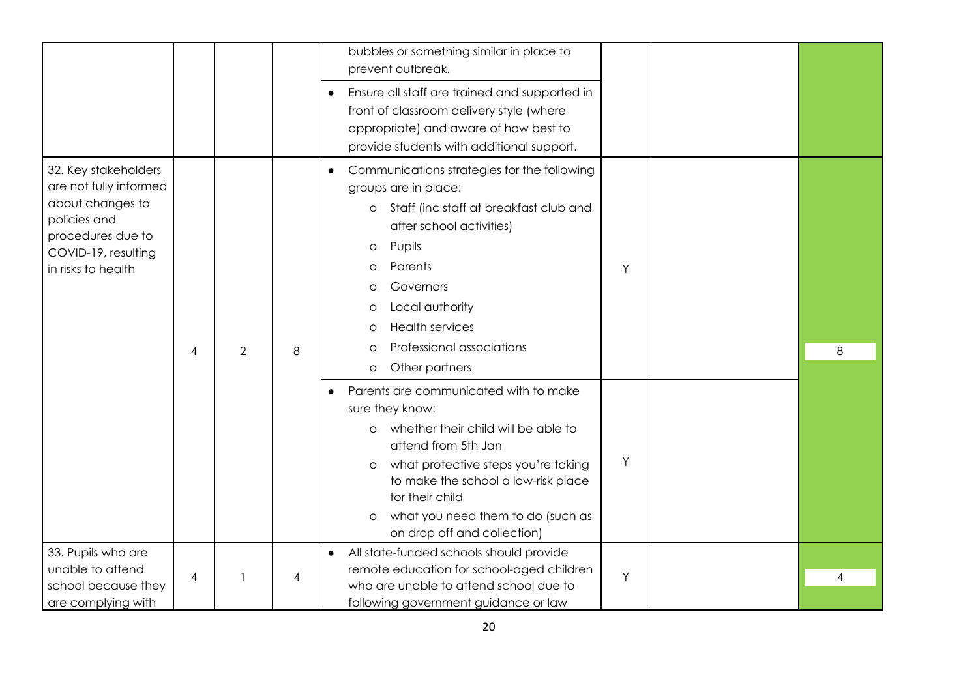|                                                                                                                                                      |   |                |                | bubbles or something similar in place to<br>prevent outbreak.                                                                                                                                                                                                                                                                                                                                                                                                                                                                                                                                  |        |   |
|------------------------------------------------------------------------------------------------------------------------------------------------------|---|----------------|----------------|------------------------------------------------------------------------------------------------------------------------------------------------------------------------------------------------------------------------------------------------------------------------------------------------------------------------------------------------------------------------------------------------------------------------------------------------------------------------------------------------------------------------------------------------------------------------------------------------|--------|---|
|                                                                                                                                                      |   |                |                | Ensure all staff are trained and supported in<br>front of classroom delivery style (where<br>appropriate) and aware of how best to<br>provide students with additional support.                                                                                                                                                                                                                                                                                                                                                                                                                |        |   |
| 32. Key stakeholders<br>are not fully informed<br>about changes to<br>policies and<br>procedures due to<br>COVID-19, resulting<br>in risks to health | 4 | $\overline{2}$ | 8              | Communications strategies for the following<br>$\bullet$<br>groups are in place:<br>Staff (inc staff at breakfast club and<br>$\circ$<br>after school activities)<br>Pupils<br>$\circ$<br>Parents<br>O<br>Governors<br>$\circ$<br>Local authority<br>O<br><b>Health services</b><br>$\circ$<br>Professional associations<br>$\circ$<br>Other partners<br>$\circ$<br>Parents are communicated with to make<br>sure they know:<br>whether their child will be able to<br>$\circ$<br>attend from 5th Jan<br>what protective steps you're taking<br>$\circ$<br>to make the school a low-risk place | Y<br>Y | 8 |
|                                                                                                                                                      |   |                |                | for their child<br>what you need them to do (such as<br>$\circ$<br>on drop off and collection)                                                                                                                                                                                                                                                                                                                                                                                                                                                                                                 |        |   |
| 33. Pupils who are<br>unable to attend<br>school because they<br>are complying with                                                                  | 4 |                | $\overline{4}$ | All state-funded schools should provide<br>$\bullet$<br>remote education for school-aged children<br>who are unable to attend school due to<br>following government guidance or law                                                                                                                                                                                                                                                                                                                                                                                                            | Y      | 4 |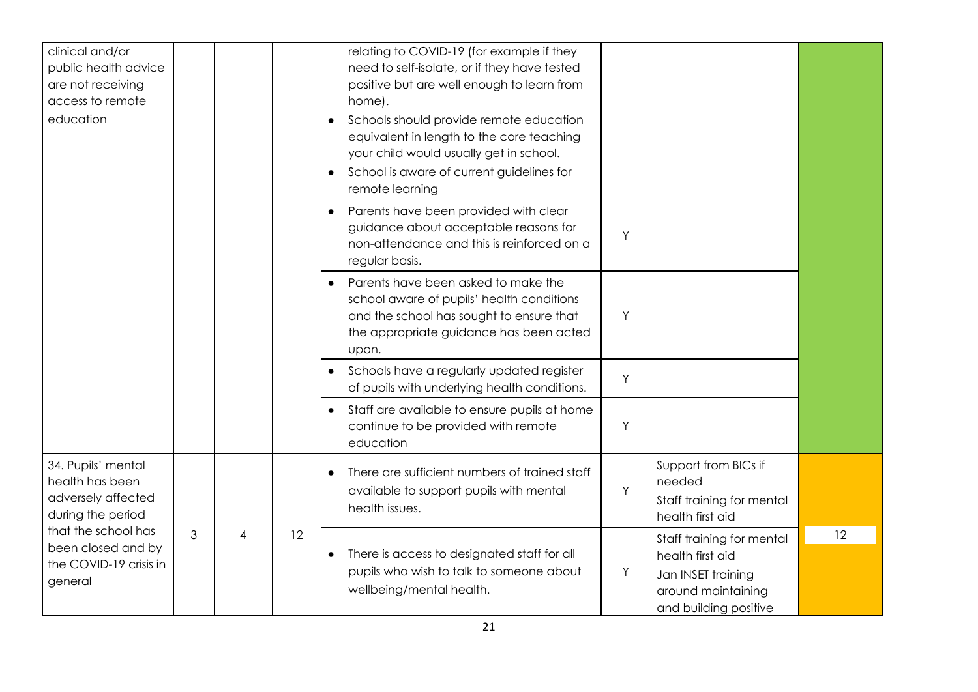| clinical and/or<br>public health advice<br>are not receiving<br>access to remote<br>education |   |   |    | relating to COVID-19 (for example if they<br>need to self-isolate, or if they have tested<br>positive but are well enough to learn from<br>home).<br>Schools should provide remote education<br>$\bullet$<br>equivalent in length to the core teaching<br>your child would usually get in school.<br>School is aware of current guidelines for<br>$\bullet$<br>remote learning |   |                                                                                                                    |    |
|-----------------------------------------------------------------------------------------------|---|---|----|--------------------------------------------------------------------------------------------------------------------------------------------------------------------------------------------------------------------------------------------------------------------------------------------------------------------------------------------------------------------------------|---|--------------------------------------------------------------------------------------------------------------------|----|
|                                                                                               |   |   |    | Parents have been provided with clear<br>$\bullet$<br>guidance about acceptable reasons for<br>non-attendance and this is reinforced on a<br>regular basis.                                                                                                                                                                                                                    | Υ |                                                                                                                    |    |
|                                                                                               |   |   |    | Parents have been asked to make the<br>$\bullet$<br>school aware of pupils' health conditions<br>and the school has sought to ensure that<br>the appropriate guidance has been acted<br>upon.                                                                                                                                                                                  | Y |                                                                                                                    |    |
|                                                                                               |   |   |    | Schools have a regularly updated register<br>$\bullet$<br>of pupils with underlying health conditions.                                                                                                                                                                                                                                                                         | Y |                                                                                                                    |    |
|                                                                                               |   |   |    | Staff are available to ensure pupils at home<br>$\bullet$<br>continue to be provided with remote<br>education                                                                                                                                                                                                                                                                  | Y |                                                                                                                    |    |
| 34. Pupils' mental<br>health has been<br>adversely affected<br>during the period              |   |   |    | There are sufficient numbers of trained staff<br>$\bullet$<br>available to support pupils with mental<br>health issues.                                                                                                                                                                                                                                                        | Y | Support from BICs if<br>needed<br>Staff training for mental<br>health first aid                                    |    |
| that the school has<br>been closed and by<br>the COVID-19 crisis in<br>general                | 3 | 4 | 12 | There is access to designated staff for all<br>$\bullet$<br>pupils who wish to talk to someone about<br>wellbeing/mental health.                                                                                                                                                                                                                                               | Y | Staff training for mental<br>health first aid<br>Jan INSET training<br>around maintaining<br>and building positive | 12 |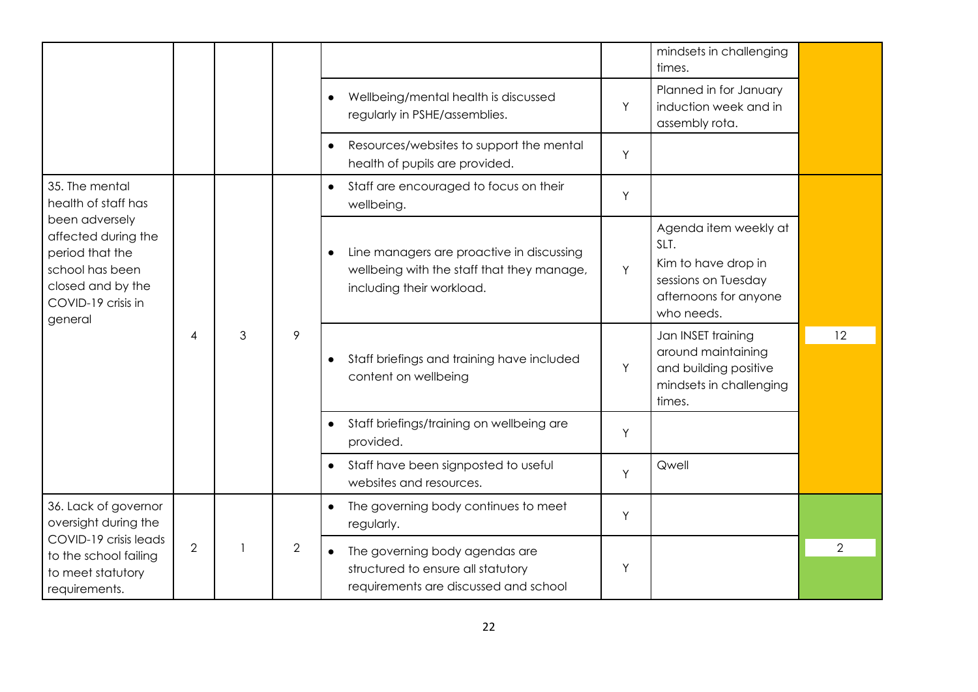|                                                                                                                                      |                |                |   |                                                                                                                                   |                | mindsets in challenging<br>times.                                                                                  |    |                                                                                                                            |   |  |
|--------------------------------------------------------------------------------------------------------------------------------------|----------------|----------------|---|-----------------------------------------------------------------------------------------------------------------------------------|----------------|--------------------------------------------------------------------------------------------------------------------|----|----------------------------------------------------------------------------------------------------------------------------|---|--|
|                                                                                                                                      |                |                |   | Wellbeing/mental health is discussed<br>$\bullet$<br>regularly in PSHE/assemblies.                                                | Y              | Planned in for January<br>induction week and in<br>assembly rota.                                                  |    |                                                                                                                            |   |  |
|                                                                                                                                      |                |                |   | Resources/websites to support the mental<br>health of pupils are provided.                                                        | Y              |                                                                                                                    |    |                                                                                                                            |   |  |
| 35. The mental<br>health of staff has                                                                                                |                |                |   | Staff are encouraged to focus on their<br>$\bullet$<br>wellbeing.                                                                 | Y              |                                                                                                                    |    |                                                                                                                            |   |  |
| been adversely<br>affected during the<br>period that the<br>school has been<br>closed and by the<br>COVID-19 crisis in               |                |                |   | Line managers are proactive in discussing<br>$\bullet$<br>wellbeing with the staff that they manage,<br>including their workload. | Y              | Agenda item weekly at<br>SLT.<br>Kim to have drop in<br>sessions on Tuesday<br>afternoons for anyone<br>who needs. |    |                                                                                                                            |   |  |
| general                                                                                                                              | $\overline{4}$ | 3              | 9 | Staff briefings and training have included<br>$\bullet$<br>content on wellbeing                                                   | Y              | Jan INSET training<br>around maintaining<br>and building positive<br>mindsets in challenging<br>times.             | 12 |                                                                                                                            |   |  |
|                                                                                                                                      |                |                |   | Staff briefings/training on wellbeing are<br>$\bullet$<br>provided.                                                               | Y              |                                                                                                                    |    |                                                                                                                            |   |  |
|                                                                                                                                      |                |                |   | Staff have been signposted to useful<br>websites and resources.                                                                   | Y              | Qwell                                                                                                              |    |                                                                                                                            |   |  |
| 36. Lack of governor<br>oversight during the<br>COVID-19 crisis leads<br>to the school failing<br>to meet statutory<br>requirements. |                |                |   | The governing body continues to meet<br>$\bullet$<br>regularly.                                                                   | Y              |                                                                                                                    |    |                                                                                                                            |   |  |
|                                                                                                                                      |                | $\overline{2}$ |   |                                                                                                                                   | $\overline{2}$ |                                                                                                                    |    | The governing body agendas are<br>$\bullet$<br>structured to ensure all statutory<br>requirements are discussed and school | Y |  |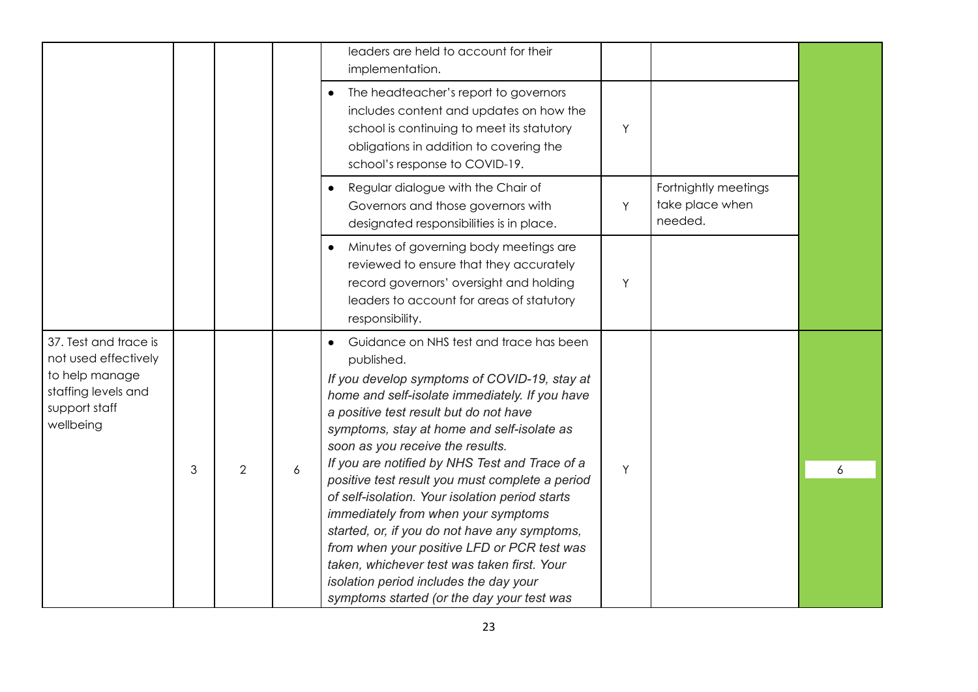|                                                                                                                      |   |                |                  | leaders are held to account for their<br>implementation.                                                                                                                                                                                                                                                                                                                                                                                                                                                                                                                                                                                                                                                                  |   |                                                    |   |
|----------------------------------------------------------------------------------------------------------------------|---|----------------|------------------|---------------------------------------------------------------------------------------------------------------------------------------------------------------------------------------------------------------------------------------------------------------------------------------------------------------------------------------------------------------------------------------------------------------------------------------------------------------------------------------------------------------------------------------------------------------------------------------------------------------------------------------------------------------------------------------------------------------------------|---|----------------------------------------------------|---|
|                                                                                                                      |   |                |                  | The headteacher's report to governors<br>includes content and updates on how the<br>school is continuing to meet its statutory<br>obligations in addition to covering the<br>school's response to COVID-19.                                                                                                                                                                                                                                                                                                                                                                                                                                                                                                               | Y |                                                    |   |
|                                                                                                                      |   |                |                  | Regular dialogue with the Chair of<br>Governors and those governors with<br>designated responsibilities is in place.                                                                                                                                                                                                                                                                                                                                                                                                                                                                                                                                                                                                      | Y | Fortnightly meetings<br>take place when<br>needed. |   |
|                                                                                                                      |   |                |                  | Minutes of governing body meetings are<br>reviewed to ensure that they accurately<br>record governors' oversight and holding<br>leaders to account for areas of statutory<br>responsibility.                                                                                                                                                                                                                                                                                                                                                                                                                                                                                                                              | Y |                                                    |   |
| 37. Test and trace is<br>not used effectively<br>to help manage<br>staffing levels and<br>support staff<br>wellbeing | 3 | $\overline{2}$ | $\boldsymbol{6}$ | Guidance on NHS test and trace has been<br>published.<br>If you develop symptoms of COVID-19, stay at<br>home and self-isolate immediately. If you have<br>a positive test result but do not have<br>symptoms, stay at home and self-isolate as<br>soon as you receive the results.<br>If you are notified by NHS Test and Trace of a<br>positive test result you must complete a period<br>of self-isolation. Your isolation period starts<br>immediately from when your symptoms<br>started, or, if you do not have any symptoms,<br>from when your positive LFD or PCR test was<br>taken, whichever test was taken first. Your<br>isolation period includes the day your<br>symptoms started (or the day your test was | Y |                                                    | 6 |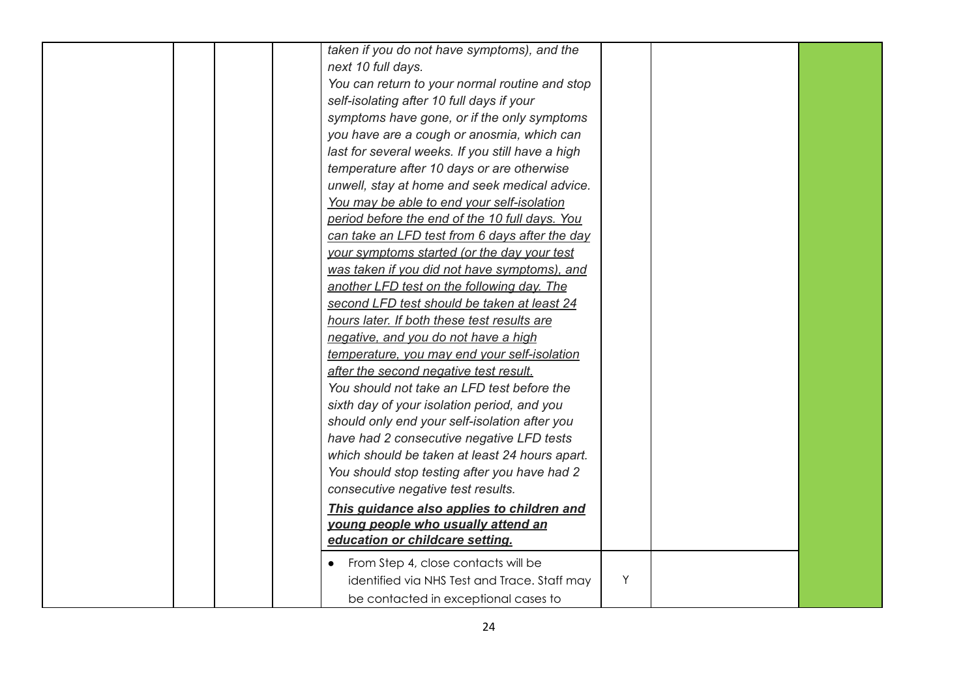| taken if you do not have symptoms), and the<br>next 10 full days.<br>You can return to your normal routine and stop<br>self-isolating after 10 full days if your<br>symptoms have gone, or if the only symptoms<br>you have are a cough or anosmia, which can<br>last for several weeks. If you still have a high<br>temperature after 10 days or are otherwise<br>unwell, stay at home and seek medical advice.                                                                                                                                                                                                                                                                                                                                                                     |  |
|--------------------------------------------------------------------------------------------------------------------------------------------------------------------------------------------------------------------------------------------------------------------------------------------------------------------------------------------------------------------------------------------------------------------------------------------------------------------------------------------------------------------------------------------------------------------------------------------------------------------------------------------------------------------------------------------------------------------------------------------------------------------------------------|--|
| was taken if you did not have symptoms), and<br>another LFD test on the following day. The<br>second LFD test should be taken at least 24<br>hours later. If both these test results are<br>negative, and you do not have a high<br>temperature, you may end your self-isolation<br>after the second negative test result.<br>You should not take an LFD test before the<br>sixth day of your isolation period, and you<br>should only end your self-isolation after you<br>have had 2 consecutive negative LFD tests<br>which should be taken at least 24 hours apart.<br>You should stop testing after you have had 2<br>consecutive negative test results.<br>This guidance also applies to children and<br>young people who usually attend an<br>education or childcare setting. |  |
| From Step 4, close contacts will be<br>identified via NHS Test and Trace. Staff may<br>Y<br>be contacted in exceptional cases to                                                                                                                                                                                                                                                                                                                                                                                                                                                                                                                                                                                                                                                     |  |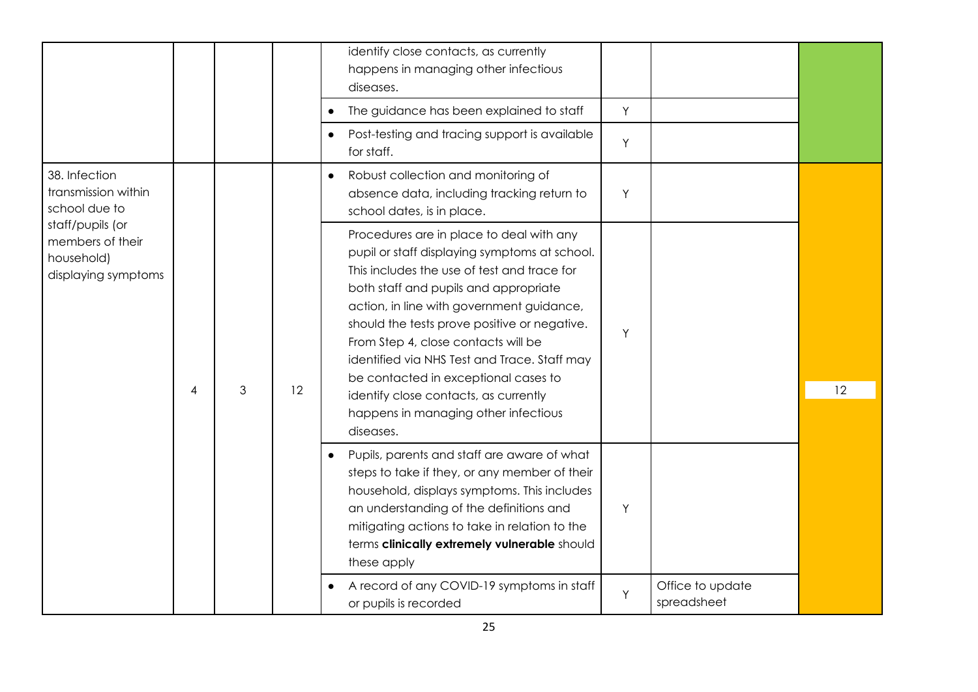|                                                                           |   |   |    | identify close contacts, as currently<br>happens in managing other infectious<br>diseases.<br>The guidance has been explained to staff<br>Post-testing and tracing support is available<br>for staff.                                                                                                                                                                                                                                                                                                       | Y<br>Υ |                                 |    |
|---------------------------------------------------------------------------|---|---|----|-------------------------------------------------------------------------------------------------------------------------------------------------------------------------------------------------------------------------------------------------------------------------------------------------------------------------------------------------------------------------------------------------------------------------------------------------------------------------------------------------------------|--------|---------------------------------|----|
| 38. Infection<br>transmission within<br>school due to                     |   |   |    | Robust collection and monitoring of<br>$\bullet$<br>absence data, including tracking return to<br>school dates, is in place.                                                                                                                                                                                                                                                                                                                                                                                | Y      |                                 |    |
| staff/pupils (or<br>members of their<br>household)<br>displaying symptoms | 4 | 3 | 12 | Procedures are in place to deal with any<br>pupil or staff displaying symptoms at school.<br>This includes the use of test and trace for<br>both staff and pupils and appropriate<br>action, in line with government guidance,<br>should the tests prove positive or negative.<br>From Step 4, close contacts will be<br>identified via NHS Test and Trace. Staff may<br>be contacted in exceptional cases to<br>identify close contacts, as currently<br>happens in managing other infectious<br>diseases. | Y      |                                 | 12 |
|                                                                           |   |   |    | Pupils, parents and staff are aware of what<br>steps to take if they, or any member of their<br>household, displays symptoms. This includes<br>an understanding of the definitions and<br>mitigating actions to take in relation to the<br>terms clinically extremely vulnerable should<br>these apply                                                                                                                                                                                                      | Y      |                                 |    |
|                                                                           |   |   |    | A record of any COVID-19 symptoms in staff<br>or pupils is recorded                                                                                                                                                                                                                                                                                                                                                                                                                                         | Y      | Office to update<br>spreadsheet |    |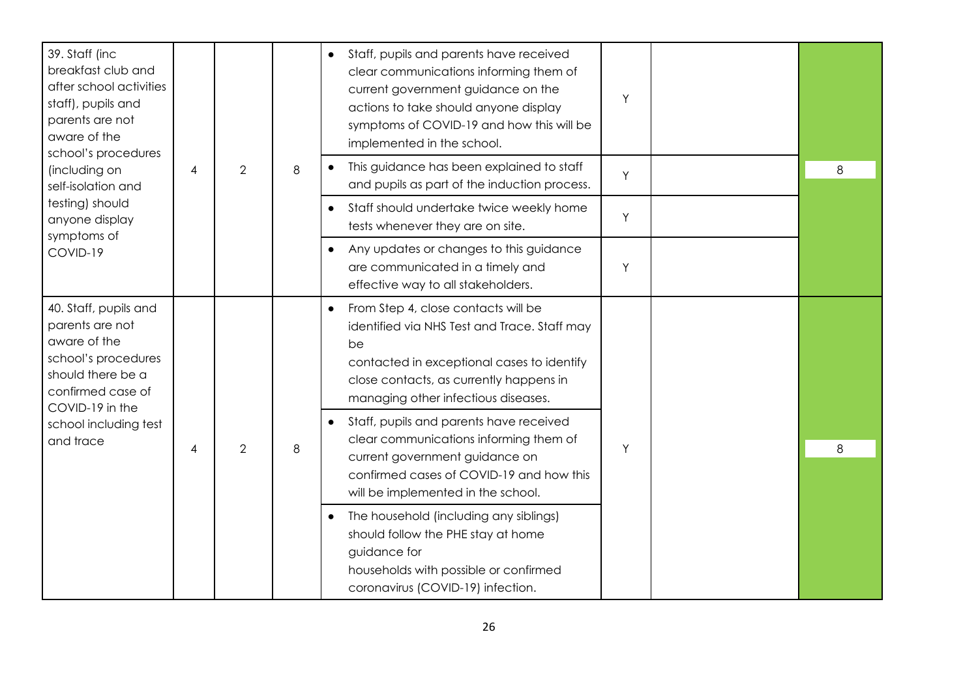| 39. Staff (inc<br>breakfast club and<br>after school activities<br>staff), pupils and<br>parents are not<br>aware of the<br>school's procedures                                    |   |                |   |                                                                                                                                                                                                                                        |   |   |                                                                                                                                                                                         |  |  |  |  |  | Staff, pupils and parents have received<br>$\bullet$<br>clear communications informing them of<br>current government guidance on the<br>actions to take should anyone display<br>symptoms of COVID-19 and how this will be<br>implemented in the school. | Υ |  |
|------------------------------------------------------------------------------------------------------------------------------------------------------------------------------------|---|----------------|---|----------------------------------------------------------------------------------------------------------------------------------------------------------------------------------------------------------------------------------------|---|---|-----------------------------------------------------------------------------------------------------------------------------------------------------------------------------------------|--|--|--|--|--|----------------------------------------------------------------------------------------------------------------------------------------------------------------------------------------------------------------------------------------------------------|---|--|
| (including on<br>self-isolation and                                                                                                                                                | 4 | $\overline{2}$ | 8 | This guidance has been explained to staff<br>and pupils as part of the induction process.                                                                                                                                              | Y | 8 |                                                                                                                                                                                         |  |  |  |  |  |                                                                                                                                                                                                                                                          |   |  |
| testing) should<br>anyone display                                                                                                                                                  |   |                |   | Staff should undertake twice weekly home<br>$\bullet$<br>tests whenever they are on site.                                                                                                                                              | Y |   |                                                                                                                                                                                         |  |  |  |  |  |                                                                                                                                                                                                                                                          |   |  |
| symptoms of<br>COVID-19                                                                                                                                                            |   |                |   | Any updates or changes to this guidance<br>$\bullet$<br>are communicated in a timely and<br>effective way to all stakeholders.                                                                                                         | Y |   |                                                                                                                                                                                         |  |  |  |  |  |                                                                                                                                                                                                                                                          |   |  |
| 40. Staff, pupils and<br>parents are not<br>aware of the<br>school's procedures<br>should there be a<br>confirmed case of<br>COVID-19 in the<br>school including test<br>and trace |   |                |   | From Step 4, close contacts will be<br>$\bullet$<br>identified via NHS Test and Trace. Staff may<br>be<br>contacted in exceptional cases to identify<br>close contacts, as currently happens in<br>managing other infectious diseases. |   |   |                                                                                                                                                                                         |  |  |  |  |  |                                                                                                                                                                                                                                                          |   |  |
|                                                                                                                                                                                    |   |                |   | Staff, pupils and parents have received<br>$\bullet$                                                                                                                                                                                   |   |   |                                                                                                                                                                                         |  |  |  |  |  |                                                                                                                                                                                                                                                          |   |  |
|                                                                                                                                                                                    | 4 | $\overline{2}$ | 8 | clear communications informing them of<br>current government guidance on<br>confirmed cases of COVID-19 and how this<br>will be implemented in the school.                                                                             | Y | 8 |                                                                                                                                                                                         |  |  |  |  |  |                                                                                                                                                                                                                                                          |   |  |
|                                                                                                                                                                                    |   |                |   |                                                                                                                                                                                                                                        |   |   | The household (including any siblings)<br>$\bullet$<br>should follow the PHE stay at home<br>guidance for<br>households with possible or confirmed<br>coronavirus (COVID-19) infection. |  |  |  |  |  |                                                                                                                                                                                                                                                          |   |  |